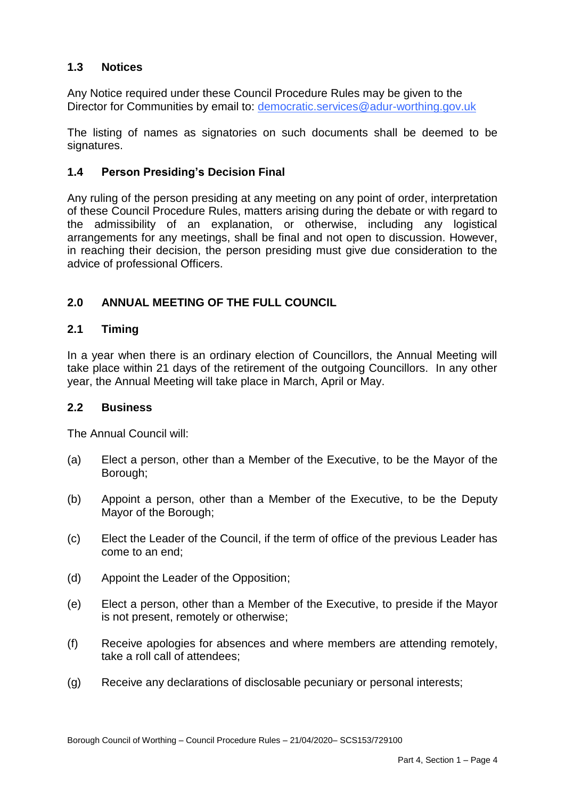#### $1.3$ **1.3 Notices**

 Any Notice required under these Council Procedure Rules may be given to the Director for Communities by email to: democratic.services@adur-worthing.gov.uk

 The listing of names as signatories on such documents shall be deemed to be signatures.

# **1.4 Person Presiding's Decision Final**

 Any ruling of the person presiding at any meeting on any point of order, interpretation of these Council Procedure Rules, matters arising during the debate or with regard to the admissibility of an explanation, or otherwise, including any logistical arrangements for any meetings, shall be final and not open to discussion. However, in reaching their decision, the person presiding must give due consideration to the advice of professional Officers.

# **2.0 ANNUAL MEETING OF THE FULL COUNCIL**

#### $21$ **2.1 Timing**

 In a year when there is an ordinary election of Councillors, the Annual Meeting will take place within 21 days of the retirement of the outgoing Councillors. In any other year, the Annual Meeting will take place in March, April or May.

#### **2.2 Business**

The Annual Council will:

- $(a)$ Elect a person, other than a Member of the Executive, to be the Mayor of the Borough;
- $(b)$  Mayor of the Borough; Appoint a person, other than a Member of the Executive, to be the Deputy
- $(c)$  come to an end; Elect the Leader of the Council, if the term of office of the previous Leader has
- (d) Appoint the Leader of the Opposition;
- (e) Elect a person, other than a Member of the Executive, to preside if the Mayor is not present, remotely or otherwise;
- (f) Receive apologies for absences and where members are attending remotely, take a roll call of attendees;
- (g) Receive any declarations of disclosable pecuniary or personal interests;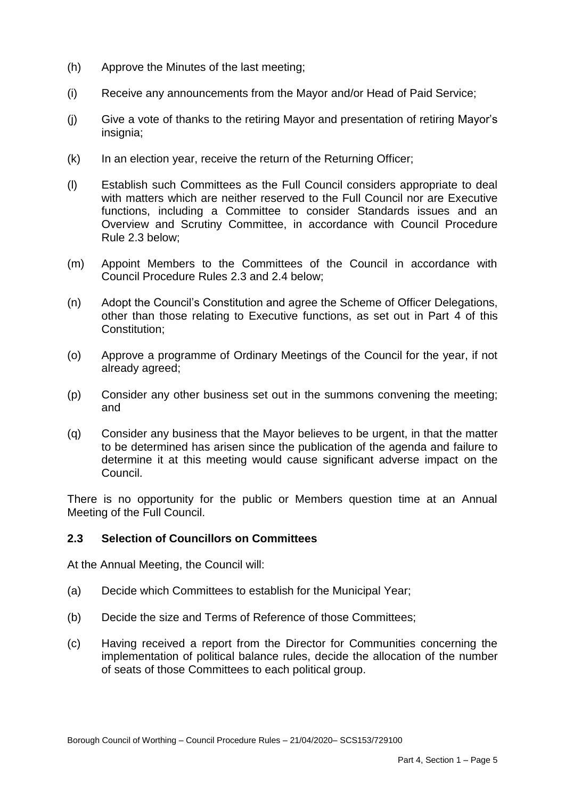- (h) Approve the Minutes of the last meeting;
- (i) Receive any announcements from the Mayor and/or Head of Paid Service;
- $(i)$ Give a vote of thanks to the retiring Mayor and presentation of retiring Mayor's insignia;
- $(k)$  In an election year, receive the return of the Returning Officer;
- (l) Establish such Committees as the Full Council considers appropriate to deal with matters which are neither reserved to the Full Council nor are Executive functions, including a Committee to consider Standards issues and an Overview and Scrutiny Committee, in accordance with Council Procedure Rule 2.3 below;
- (m) Appoint Members to the Committees of the Council in accordance with Council Procedure Rules 2.3 and 2.4 below;
- other than those relating to Executive functions, as set out in Part 4 of this (n) Adopt the Council's Constitution and agree the Scheme of Officer Delegations, Constitution;
- (o) Approve a programme of Ordinary Meetings of the Council for the year, if not already agreed;
- (p) Consider any other business set out in the summons convening the meeting; and
- (q) Consider any business that the Mayor believes to be urgent, in that the matter to be determined has arisen since the publication of the agenda and failure to determine it at this meeting would cause significant adverse impact on the Council.

 There is no opportunity for the public or Members question time at an Annual Meeting of the Full Council.

# **2.3 Selection of Councillors on Committees**

At the Annual Meeting, the Council will:

- (a) Decide which Committees to establish for the Municipal Year;
- (b) Decide the size and Terms of Reference of those Committees;
- $(c)$  implementation of political balance rules, decide the allocation of the number Having received a report from the Director for Communities concerning the of seats of those Committees to each political group.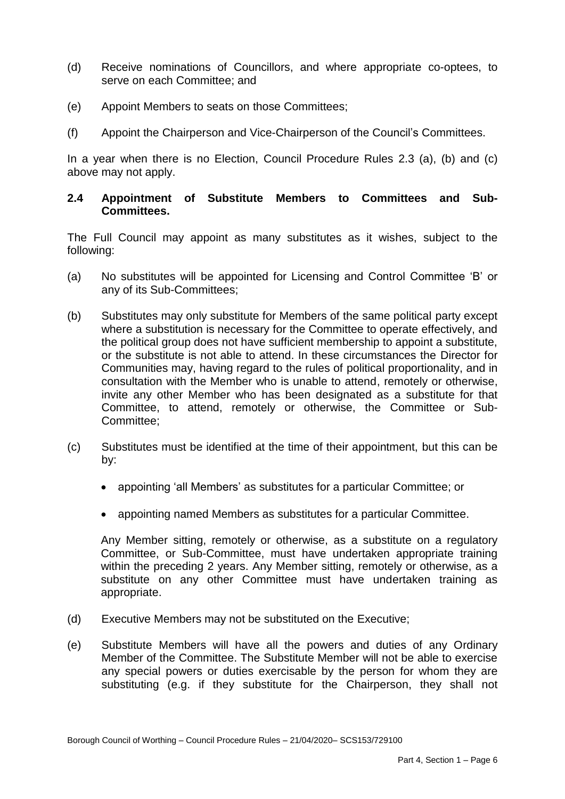- (d) Receive nominations of Councillors, and where appropriate co-optees, to serve on each Committee; and
- $(e)$ Appoint Members to seats on those Committees;
- (f) Appoint the Chairperson and Vice-Chairperson of the Council's Committees.

 In a year when there is no Election, Council Procedure Rules 2.3 (a), (b) and (c) above may not apply.

## **2.4 Appointment of Substitute Members to Committees and Sub-Committees.**

 The Full Council may appoint as many substitutes as it wishes, subject to the following:

- (a) No substitutes will be appointed for Licensing and Control Committee 'B' or any of its Sub-Committees;
- (b) Substitutes may only substitute for Members of the same political party except where a substitution is necessary for the Committee to operate effectively, and or the substitute is not able to attend. In these circumstances the Director for Communities may, having regard to the rules of political proportionality, and in consultation with the Member who is unable to attend, remotely or otherwise, invite any other Member who has been designated as a substitute for that Committee, to attend, remotely or otherwise, the Committee or Subthe political group does not have sufficient membership to appoint a substitute, Committee;
- (c) Substitutes must be identified at the time of their appointment, but this can be by:
	- appointing 'all Members' as substitutes for a particular Committee; or
	- appointing named Members as substitutes for a particular Committee.

 Any Member sitting, remotely or otherwise, as a substitute on a regulatory Committee, or Sub-Committee, must have undertaken appropriate training within the preceding 2 years. Any Member sitting, remotely or otherwise, as a substitute on any other Committee must have undertaken training as appropriate.

- (d) Executive Members may not be substituted on the Executive;
- (e) Substitute Members will have all the powers and duties of any Ordinary Member of the Committee. The Substitute Member will not be able to exercise any special powers or duties exercisable by the person for whom they are substituting (e.g. if they substitute for the Chairperson, they shall not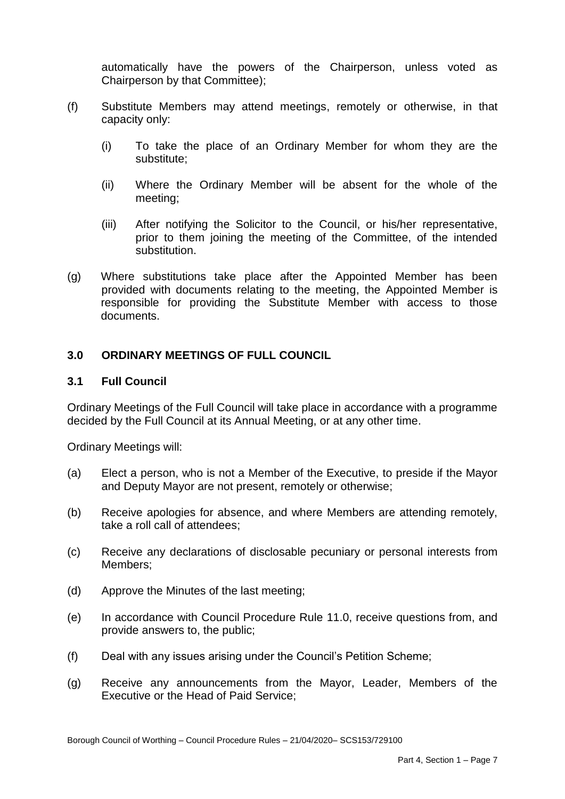automatically have the powers of the Chairperson, unless voted as Chairperson by that Committee);

- (f) Substitute Members may attend meetings, remotely or otherwise, in that capacity only:
	- $(i)$ To take the place of an Ordinary Member for whom they are the substitute;
	- (ii) Where the Ordinary Member will be absent for the whole of the meeting;
	- (iii) After notifying the Solicitor to the Council, or his/her representative, prior to them joining the meeting of the Committee, of the intended substitution.
- $(q)$  provided with documents relating to the meeting, the Appointed Member is responsible for providing the Substitute Member with access to those Where substitutions take place after the Appointed Member has been documents.

# **3.0 ORDINARY MEETINGS OF FULL COUNCIL**

## **3.1 Full Council**

Ordinary Meetings of the Full Council will take place in accordance with a programme decided by the Full Council at its Annual Meeting, or at any other time.

Ordinary Meetings will:

- $(a)$ Elect a person, who is not a Member of the Executive, to preside if the Mayor and Deputy Mayor are not present, remotely or otherwise;
- (b) Receive apologies for absence, and where Members are attending remotely, take a roll call of attendees;
- (c) Receive any declarations of disclosable pecuniary or personal interests from Members;
- (d) Approve the Minutes of the last meeting;
- $(e)$ In accordance with Council Procedure Rule 11.0, receive questions from, and provide answers to, the public;
- (f) Deal with any issues arising under the Council's Petition Scheme;
- (g) Receive any announcements from the Mayor, Leader, Members of the Executive or the Head of Paid Service;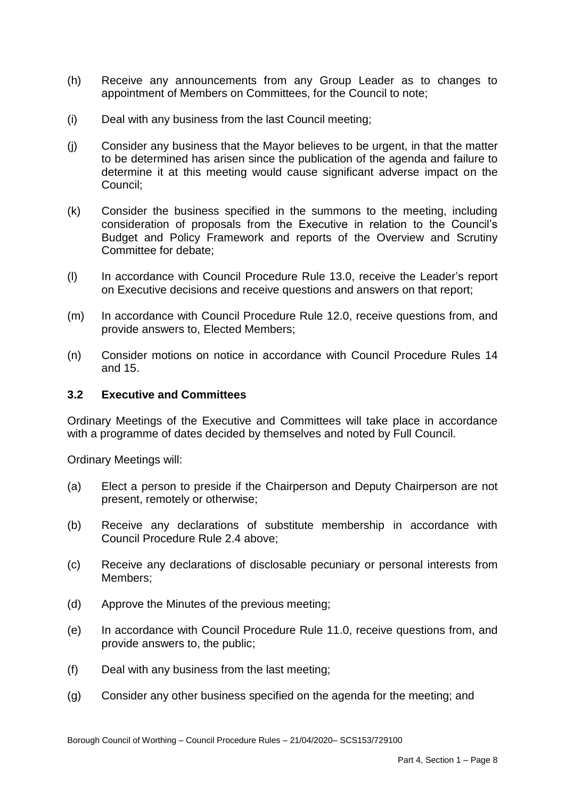- (h) Receive any announcements from any Group Leader as to changes to appointment of Members on Committees, for the Council to note;
- (i) Deal with any business from the last Council meeting;
- (j) Consider any business that the Mayor believes to be urgent, in that the matter to be determined has arisen since the publication of the agenda and failure to determine it at this meeting would cause significant adverse impact on the Council;
- (k) Consider the business specified in the summons to the meeting, including consideration of proposals from the Executive in relation to the Council's Budget and Policy Framework and reports of the Overview and Scrutiny Committee for debate;
- $(I)$  on Executive decisions and receive questions and answers on that report; In accordance with Council Procedure Rule 13.0, receive the Leader's report
- $(m)$ In accordance with Council Procedure Rule 12.0, receive questions from, and provide answers to, Elected Members;
- (n) Consider motions on notice in accordance with Council Procedure Rules 14 and 15.

## **3.2 Executive and Committees**

 Ordinary Meetings of the Executive and Committees will take place in accordance with a programme of dates decided by themselves and noted by Full Council.

Ordinary Meetings will:

- $(a)$ Elect a person to preside if the Chairperson and Deputy Chairperson are not present, remotely or otherwise;
- (b) Receive any declarations of substitute membership in accordance with Council Procedure Rule 2.4 above;
- (c) Receive any declarations of disclosable pecuniary or personal interests from Members;
- (d) Approve the Minutes of the previous meeting;
- $(e)$ In accordance with Council Procedure Rule 11.0, receive questions from, and provide answers to, the public;
- (f) Deal with any business from the last meeting;
- (g) Consider any other business specified on the agenda for the meeting; and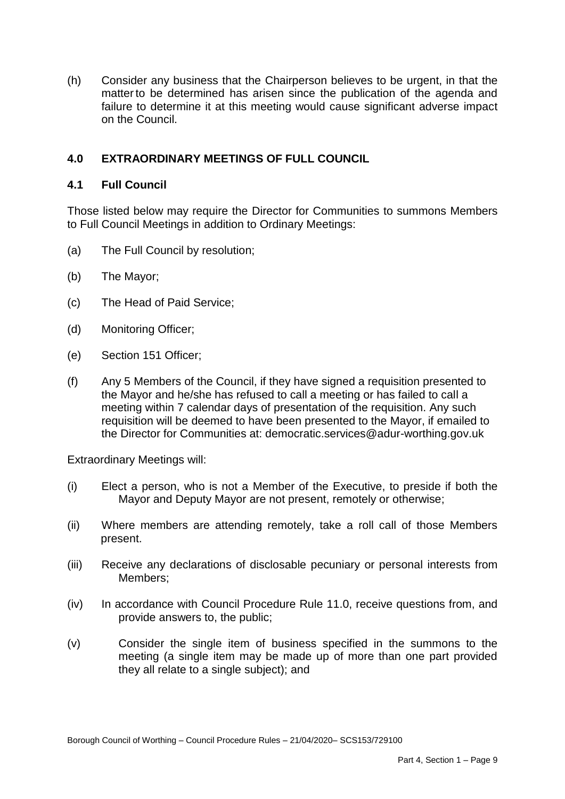(h) Consider any business that the Chairperson believes to be urgent, in that the matter to be determined has arisen since the publication of the agenda and failure to determine it at this meeting would cause significant adverse impact on the Council.

# **4.0 EXTRAORDINARY MEETINGS OF FULL COUNCIL**

# **4.1 Full Council**

 Those listed below may require the Director for Communities to summons Members to Full Council Meetings in addition to Ordinary Meetings:

- (a) The Full Council by resolution;
- (b) The Mayor;
- $(c)$ The Head of Paid Service;
- (d) Monitoring Officer;
- (e) Section 151 Officer;
- $(f)$  the Mayor and he/she has refused to call a meeting or has failed to call a meeting within 7 calendar days of presentation of the requisition. Any such requisition will be deemed to have been presented to the Mayor, if emailed to Any 5 Members of the Council, if they have signed a requisition presented to the Director for Communities at: democratic.services@adur-worthing.gov.uk

Extraordinary Meetings will:

- $(i)$ Elect a person, who is not a Member of the Executive, to preside if both the Mayor and Deputy Mayor are not present, remotely or otherwise;
- $(ii)$ Where members are attending remotely, take a roll call of those Members present.
- $(iii)$ Receive any declarations of disclosable pecuniary or personal interests from Members;
- $(iv)$ In accordance with Council Procedure Rule 11.0, receive questions from, and provide answers to, the public;
- $(v)$  meeting (a single item may be made up of more than one part provided they all relate to a single subject); and Consider the single item of business specified in the summons to the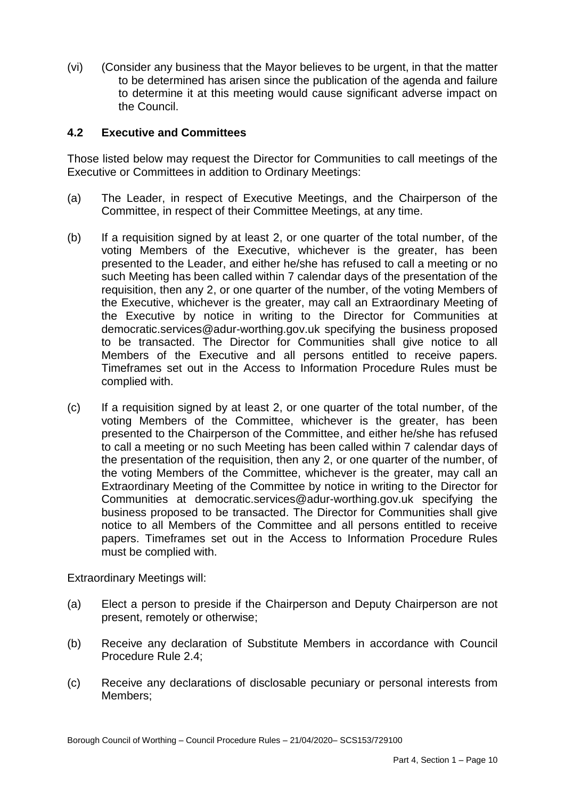(vi) (Consider any business that the Mayor believes to be urgent, in that the matter to be determined has arisen since the publication of the agenda and failure to determine it at this meeting would cause significant adverse impact on the Council.

# **4.2 Executive and Committees**

 Those listed below may request the Director for Communities to call meetings of the Executive or Committees in addition to Ordinary Meetings:

- $(a)$ The Leader, in respect of Executive Meetings, and the Chairperson of the Committee, in respect of their Committee Meetings, at any time.
- $(b)$  voting Members of the Executive, whichever is the greater, has been presented to the Leader, and either he/she has refused to call a meeting or no such Meeting has been called within 7 calendar days of the presentation of the requisition, then any 2, or one quarter of the number, of the voting Members of the Executive, whichever is the greater, may call an Extraordinary Meeting of the Executive by notice in writing to the Director for Communities at democratic.services@adur-worthing.gov.uk specifying the business proposed to be transacted. The Director for Communities shall give notice to all Members of the Executive and all persons entitled to receive papers. Timeframes set out in the Access to Information Procedure Rules must be If a requisition signed by at least 2, or one quarter of the total number, of the complied with.
- $(c)$  voting Members of the Committee, whichever is the greater, has been presented to the Chairperson of the Committee, and either he/she has refused to call a meeting or no such Meeting has been called within 7 calendar days of the presentation of the requisition, then any 2, or one quarter of the number, of the voting Members of the Committee, whichever is the greater, may call an Extraordinary Meeting of the Committee by notice in writing to the Director for Communities at democratic.services@adur-worthing.gov.uk specifying the business proposed to be transacted. The Director for Communities shall give notice to all Members of the Committee and all persons entitled to receive papers. Timeframes set out in the Access to Information Procedure Rules If a requisition signed by at least 2, or one quarter of the total number, of the must be complied with.

Extraordinary Meetings will:

- $(a)$ Elect a person to preside if the Chairperson and Deputy Chairperson are not present, remotely or otherwise;
- (b) Receive any declaration of Substitute Members in accordance with Council Procedure Rule 2.4;
- (c) Receive any declarations of disclosable pecuniary or personal interests from Members;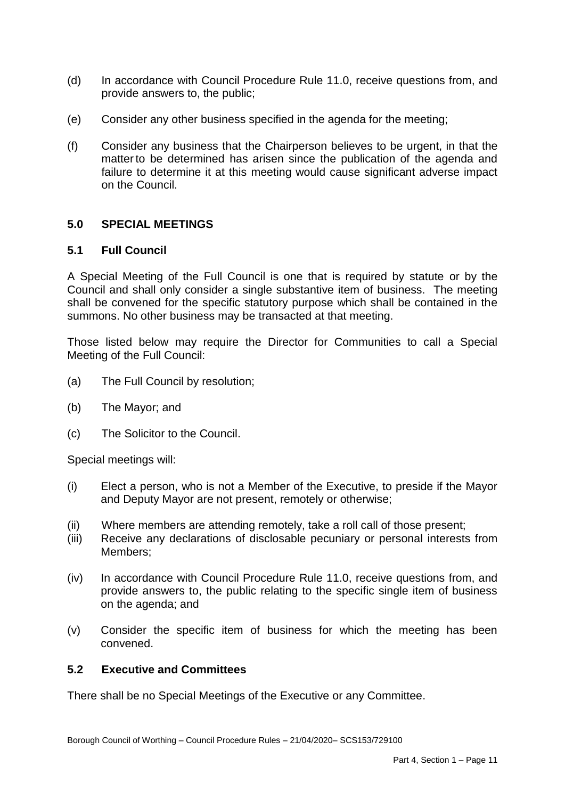- $(d)$ In accordance with Council Procedure Rule 11.0, receive questions from, and provide answers to, the public;
- (e) Consider any other business specified in the agenda for the meeting;
- (f) Consider any business that the Chairperson believes to be urgent, in that the matter to be determined has arisen since the publication of the agenda and failure to determine it at this meeting would cause significant adverse impact on the Council.

# **5.0 SPECIAL MEETINGS**

#### **5.1 Full Council**

 A Special Meeting of the Full Council is one that is required by statute or by the Council and shall only consider a single substantive item of business. The meeting shall be convened for the specific statutory purpose which shall be contained in the summons. No other business may be transacted at that meeting.

 Those listed below may require the Director for Communities to call a Special Meeting of the Full Council:

- (a) The Full Council by resolution;
- (b) The Mayor; and
- $(c)$ The Solicitor to the Council.

Special meetings will:

- $(i)$ Elect a person, who is not a Member of the Executive, to preside if the Mayor and Deputy Mayor are not present, remotely or otherwise;
- (ii) Where members are attending remotely, take a roll call of those present;
- $(iii)$ Members: Receive any declarations of disclosable pecuniary or personal interests from
- $(iv)$  provide answers to, the public relating to the specific single item of business In accordance with Council Procedure Rule 11.0, receive questions from, and on the agenda; and
- (v) Consider the specific item of business for which the meeting has been convened.

#### **5.2 Executive and Committees**

There shall be no Special Meetings of the Executive or any Committee.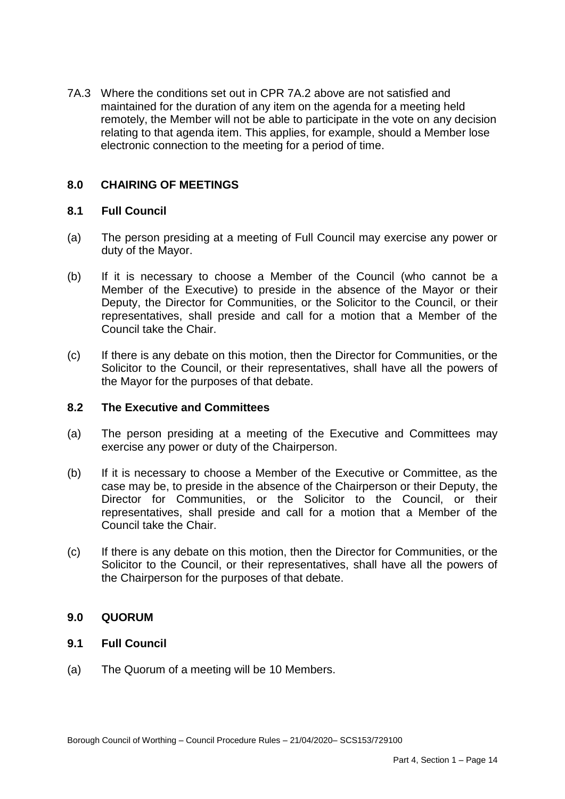maintained for the duration of any item on the agenda for a meeting held 7A.3 Where the conditions set out in CPR 7A.2 above are not satisfied and remotely, the Member will not be able to participate in the vote on any decision relating to that agenda item. This applies, for example, should a Member lose electronic connection to the meeting for a period of time.

#### **8.0 CHAIRING OF MEETINGS**

# **8.1 Full Council**

- $(a)$ The person presiding at a meeting of Full Council may exercise any power or duty of the Mayor.
- $(b)$  Member of the Executive) to preside in the absence of the Mayor or their Deputy, the Director for Communities, or the Solicitor to the Council, or their representatives, shall preside and call for a motion that a Member of the If it is necessary to choose a Member of the Council (who cannot be a Council take the Chair.
- $(c)$  Solicitor to the Council, or their representatives, shall have all the powers of the Mayor for the purposes of that debate. If there is any debate on this motion, then the Director for Communities, or the

# **8.2 The Executive and Committees**

- $(a)$ The person presiding at a meeting of the Executive and Committees may exercise any power or duty of the Chairperson.
- $(b)$  case may be, to preside in the absence of the Chairperson or their Deputy, the Director for Communities, or the Solicitor to the Council, or their representatives, shall preside and call for a motion that a Member of the If it is necessary to choose a Member of the Executive or Committee, as the Council take the Chair.
- $(c)$  Solicitor to the Council, or their representatives, shall have all the powers of If there is any debate on this motion, then the Director for Communities, or the the Chairperson for the purposes of that debate.

# **9.0 QUORUM**

# **9.1 Full Council**

(a) The Quorum of a meeting will be 10 Members.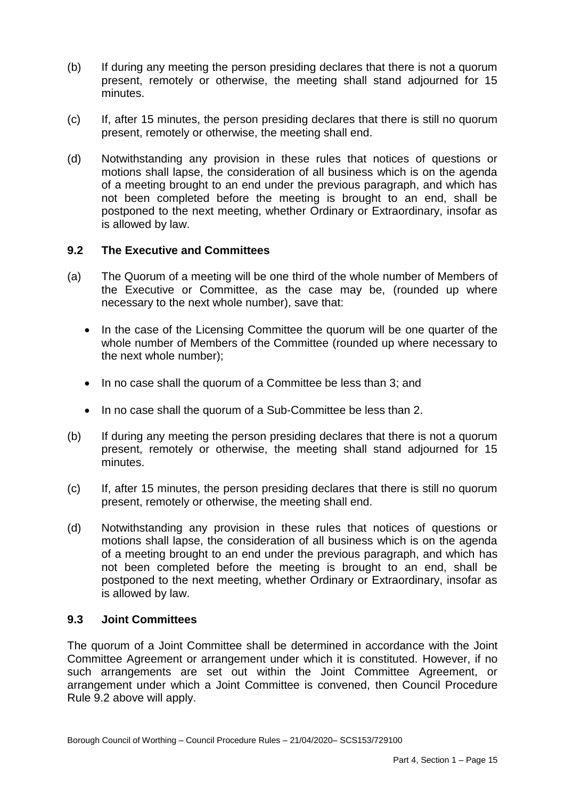- $(b)$  present, remotely or otherwise, the meeting shall stand adjourned for 15 If during any meeting the person presiding declares that there is not a quorum minutes.
- (c) If, after 15 minutes, the person presiding declares that there is still no quorum present, remotely or otherwise, the meeting shall end.
- (d) Notwithstanding any provision in these rules that notices of questions or motions shall lapse, the consideration of all business which is on the agenda of a meeting brought to an end under the previous paragraph, and which has not been completed before the meeting is brought to an end, shall be postponed to the next meeting, whether Ordinary or Extraordinary, insofar as is allowed by law.

# **9.2 The Executive and Committees**

- $(a)$  the Executive or Committee, as the case may be, (rounded up where The Quorum of a meeting will be one third of the whole number of Members of necessary to the next whole number), save that:
	- In the case of the Licensing Committee the quorum will be one quarter of the whole number of Members of the Committee (rounded up where necessary to the next whole number);
	- In no case shall the quorum of a Committee be less than 3; and
	- In no case shall the quorum of a Sub-Committee be less than 2.
- $(b)$  present, remotely or otherwise, the meeting shall stand adjourned for 15 If during any meeting the person presiding declares that there is not a quorum minutes.
- (c) If, after 15 minutes, the person presiding declares that there is still no quorum present, remotely or otherwise, the meeting shall end.
- (d) Notwithstanding any provision in these rules that notices of questions or motions shall lapse, the consideration of all business which is on the agenda of a meeting brought to an end under the previous paragraph, and which has not been completed before the meeting is brought to an end, shall be postponed to the next meeting, whether Ordinary or Extraordinary, insofar as is allowed by law.

#### **9.3 Joint Committees**

 The quorum of a Joint Committee shall be determined in accordance with the Joint Committee Agreement or arrangement under which it is constituted. However, if no such arrangements are set out within the Joint Committee Agreement, or arrangement under which a Joint Committee is convened, then Council Procedure Rule 9.2 above will apply.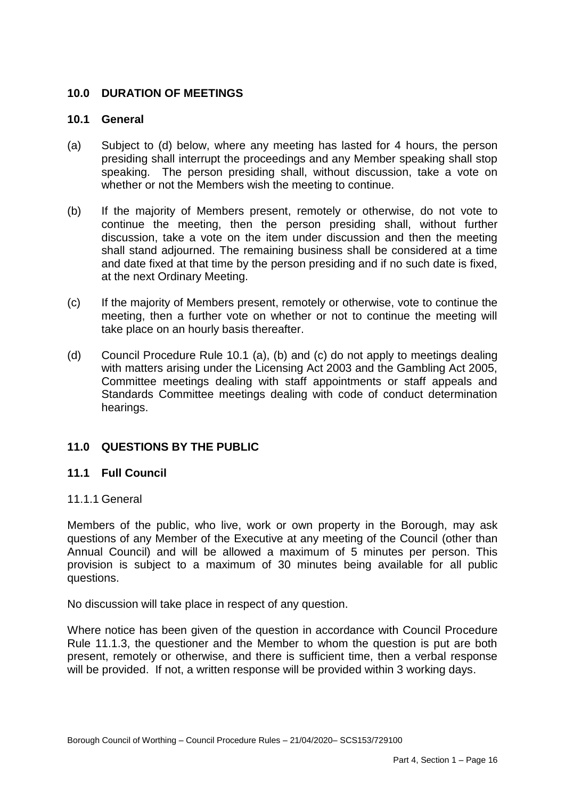# **10.0 DURATION OF MEETINGS**

# **10.1 General**

- $(a)$  presiding shall interrupt the proceedings and any Member speaking shall stop speaking. The person presiding shall, without discussion, take a vote on Subject to (d) below, where any meeting has lasted for 4 hours, the person whether or not the Members wish the meeting to continue.
- $(b)$  continue the meeting, then the person presiding shall, without further discussion, take a vote on the item under discussion and then the meeting shall stand adjourned. The remaining business shall be considered at a time and date fixed at that time by the person presiding and if no such date is fixed, If the majority of Members present, remotely or otherwise, do not vote to at the next Ordinary Meeting.
- $(c)$  meeting, then a further vote on whether or not to continue the meeting will take place on an hourly basis thereafter. If the majority of Members present, remotely or otherwise, vote to continue the
- $(d)$  with matters arising under the Licensing Act 2003 and the Gambling Act 2005, Committee meetings dealing with staff appointments or staff appeals and Standards Committee meetings dealing with code of conduct determination Council Procedure Rule 10.1 (a), (b) and (c) do not apply to meetings dealing hearings.

# **11.0 QUESTIONS BY THE PUBLIC**

#### **11.1 Full Council**

## 11.1.1 General

 Members of the public, who live, work or own property in the Borough, may ask questions of any Member of the Executive at any meeting of the Council (other than Annual Council) and will be allowed a maximum of 5 minutes per person. This provision is subject to a maximum of 30 minutes being available for all public questions.

No discussion will take place in respect of any question.

 Where notice has been given of the question in accordance with Council Procedure Rule 11.1.3, the questioner and the Member to whom the question is put are both present, remotely or otherwise, and there is sufficient time, then a verbal response will be provided. If not, a written response will be provided within 3 working days.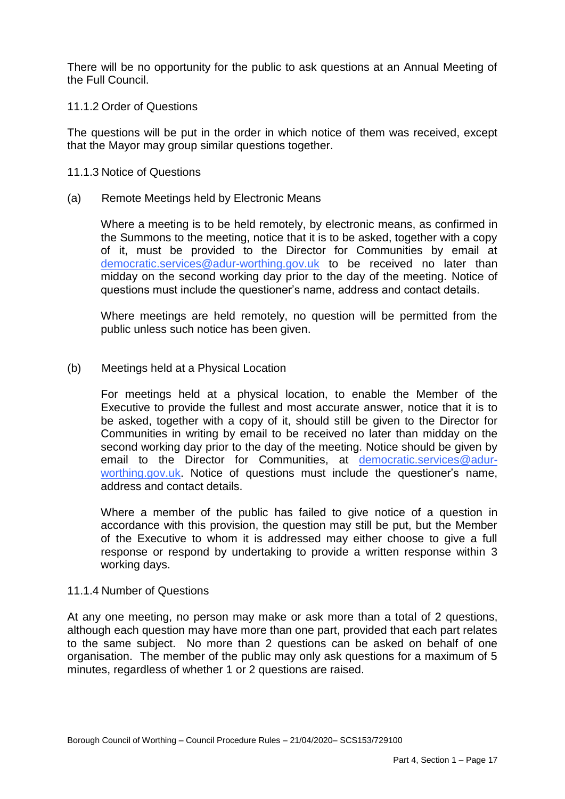There will be no opportunity for the public to ask questions at an Annual Meeting of the Full Council.

## 11.1.2 Order of Questions

 The questions will be put in the order in which notice of them was received, except that the Mayor may group similar questions together.

#### 11.1.3 Notice of Questions

 $(a)$ Remote Meetings held by Electronic Means

> Where a meeting is to be held remotely, by electronic means, as confirmed in the Summons to the meeting, notice that it is to be asked, together with a copy of it, must be provided to the Director for Communities by email at [democratic.services@adur-worthing.gov.uk](mailto:democratic.services@adur-worthing.gov.uk) to be received no later than midday on the second working day prior to the day of the meeting. Notice of questions must include the questioner's name, address and contact details.

> Where meetings are held remotely, no question will be permitted from the public unless such notice has been given.

#### $(b)$ Meetings held at a Physical Location

 For meetings held at a physical location, to enable the Member of the Executive to provide the fullest and most accurate answer, notice that it is to be asked, together with a copy of it, should still be given to the Director for Communities in writing by email to be received no later than midday on the second working day prior to the day of the meeting. Notice should be given by email to the Director for Communities, at [democratic.services@adur](mailto:democratic.services@adur-worthing.gov.uk)[worthing.gov.uk.](mailto:democratic.services@adur-worthing.gov.uk) Notice of questions must include the questioner's name, address and contact details.

 Where a member of the public has failed to give notice of a question in accordance with this provision, the question may still be put, but the Member of the Executive to whom it is addressed may either choose to give a full response or respond by undertaking to provide a written response within 3 working days.

#### 11.1.4 Number of Questions

 At any one meeting, no person may make or ask more than a total of 2 questions, to the same subject. No more than 2 questions can be asked on behalf of one organisation. The member of the public may only ask questions for a maximum of 5 minutes, regardless of whether 1 or 2 questions are raised. although each question may have more than one part, provided that each part relates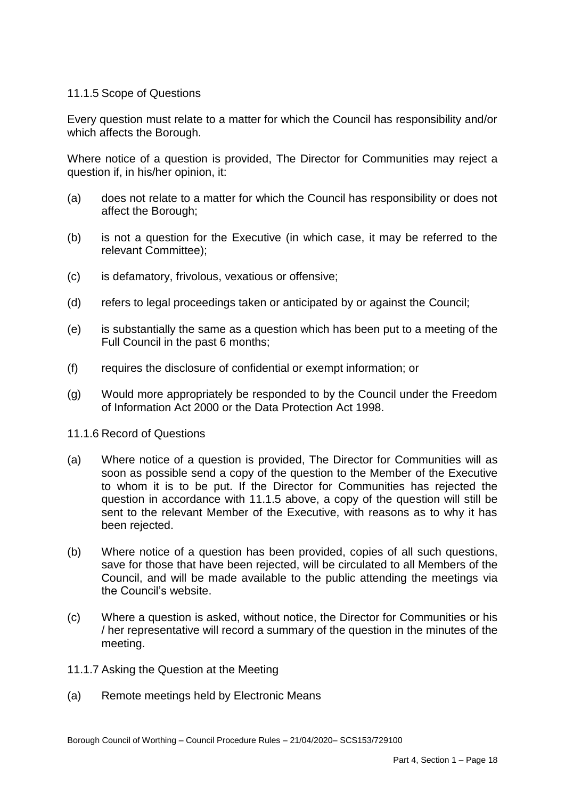# 11.1.5 Scope of Questions

 Every question must relate to a matter for which the Council has responsibility and/or which affects the Borough.

 Where notice of a question is provided, The Director for Communities may reject a question if, in his/her opinion, it:

- (a) does not relate to a matter for which the Council has responsibility or does not affect the Borough;
- $(b)$ is not a question for the Executive (in which case, it may be referred to the relevant Committee);
- (c) is defamatory, frivolous, vexatious or offensive;
- (d) refers to legal proceedings taken or anticipated by or against the Council;
- (e) is substantially the same as a question which has been put to a meeting of the Full Council in the past 6 months;
- (f) requires the disclosure of confidential or exempt information; or
- $(a)$ (g) Would more appropriately be responded to by the Council under the Freedom of Information Act 2000 or the Data Protection Act 1998.
- 11.1.6 Record of Questions
- $(a)$  soon as possible send a copy of the question to the Member of the Executive to whom it is to be put. If the Director for Communities has rejected the question in accordance with 11.1.5 above, a copy of the question will still be sent to the relevant Member of the Executive, with reasons as to why it has Where notice of a question is provided. The Director for Communities will as been rejected.
- $(b)$  save for those that have been rejected, will be circulated to all Members of the Council, and will be made available to the public attending the meetings via the Council's website. Where notice of a question has been provided, copies of all such questions,
- $(c)$ Where a question is asked, without notice, the Director for Communities or his / her representative will record a summary of the question in the minutes of the meeting.
- 11.1.7 Asking the Question at the Meeting
- (a) Remote meetings held by Electronic Means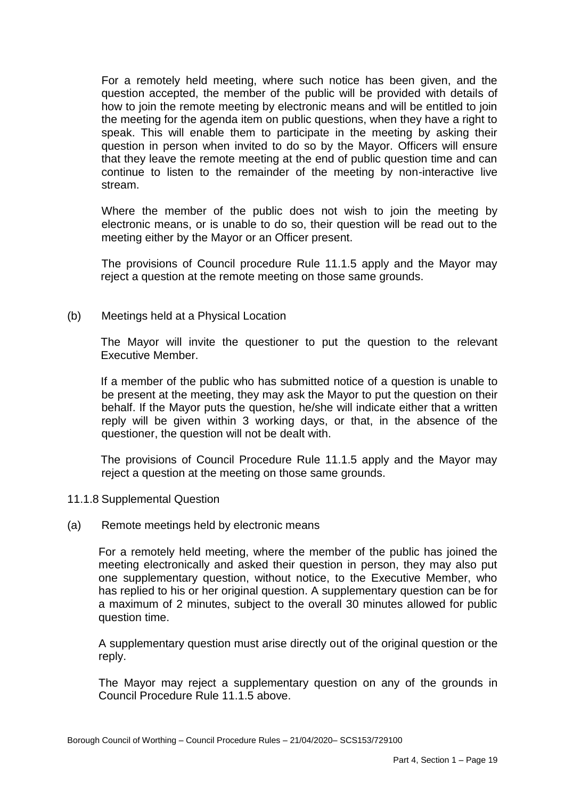For a remotely held meeting, where such notice has been given, and the question accepted, the member of the public will be provided with details of how to join the remote meeting by electronic means and will be entitled to join the meeting for the agenda item on public questions, when they have a right to speak. This will enable them to participate in the meeting by asking their question in person when invited to do so by the Mayor. Officers will ensure that they leave the remote meeting at the end of public question time and can continue to listen to the remainder of the meeting by non-interactive live stream.

 Where the member of the public does not wish to join the meeting by electronic means, or is unable to do so, their question will be read out to the meeting either by the Mayor or an Officer present.

 The provisions of Council procedure Rule 11.1.5 apply and the Mayor may reject a question at the remote meeting on those same grounds.

(b) Meetings held at a Physical Location

 The Mayor will invite the questioner to put the question to the relevant Executive Member.

 If a member of the public who has submitted notice of a question is unable to be present at the meeting, they may ask the Mayor to put the question on their behalf. If the Mayor puts the question, he/she will indicate either that a written reply will be given within 3 working days, or that, in the absence of the questioner, the question will not be dealt with.

 The provisions of Council Procedure Rule 11.1.5 apply and the Mayor may reject a question at the meeting on those same grounds.

- 11.1.8 Supplemental Question
- (a) Remote meetings held by electronic means

 For a remotely held meeting, where the member of the public has joined the meeting electronically and asked their question in person, they may also put one supplementary question, without notice, to the Executive Member, who has replied to his or her original question. A supplementary question can be for a maximum of 2 minutes, subject to the overall 30 minutes allowed for public question time.

question time.<br>A supplementary question must arise directly out of the original question or the reply.

 The Mayor may reject a supplementary question on any of the grounds in Council Procedure Rule 11.1.5 above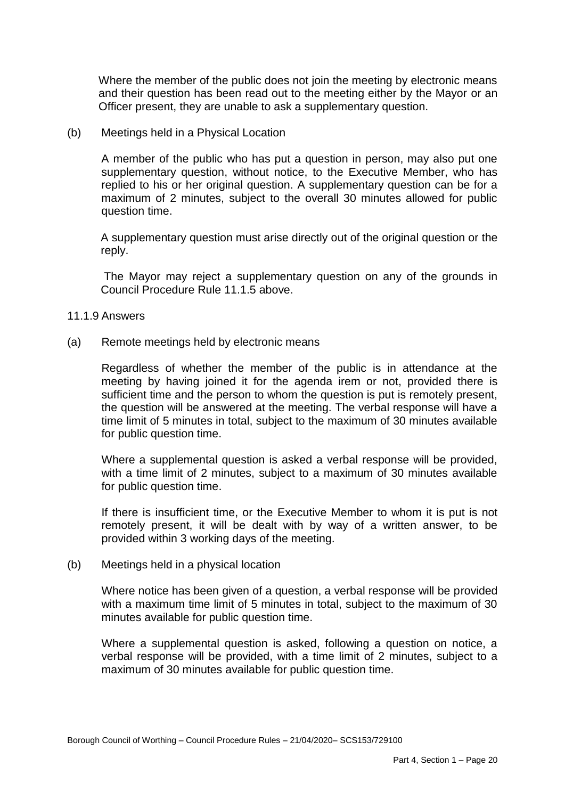Where the member of the public does not join the meeting by electronic means and their question has been read out to the meeting either by the Mayor or an Officer present, they are unable to ask a supplementary question.

(b) Meetings held in a Physical Location

 A member of the public who has put a question in person, may also put one supplementary question, without notice, to the Executive Member, who has replied to his or her original question. A supplementary question can be for a maximum of 2 minutes, subject to the overall 30 minutes allowed for public question time.

 A supplementary question must arise directly out of the original question or the reply.

 The Mayor may reject a supplementary question on any of the grounds in Council Procedure Rule 11.1.5 above.

- 11.1.9 Answers
- (a) Remote meetings held by electronic means

 Regardless of whether the member of the public is in attendance at the meeting by having joined it for the agenda irem or not, provided there is sufficient time and the person to whom the question is put is remotely present, the question will be answered at the meeting. The verbal response will have a time limit of 5 minutes in total, subject to the maximum of 30 minutes available for public question time.

 Where a supplemental question is asked a verbal response will be provided, with a time limit of 2 minutes, subject to a maximum of 30 minutes available for public question time.

 If there is insufficient time, or the Executive Member to whom it is put is not remotely present, it will be dealt with by way of a written answer, to be provided within 3 working days of the meeting.

(b) Meetings held in a physical location

 Where notice has been given of a question, a verbal response will be provided with a maximum time limit of 5 minutes in total, subject to the maximum of 30 minutes available for public question time.

 Where a supplemental question is asked, following a question on notice, a verbal response will be provided, with a time limit of 2 minutes, subject to a maximum of 30 minutes available for public question time.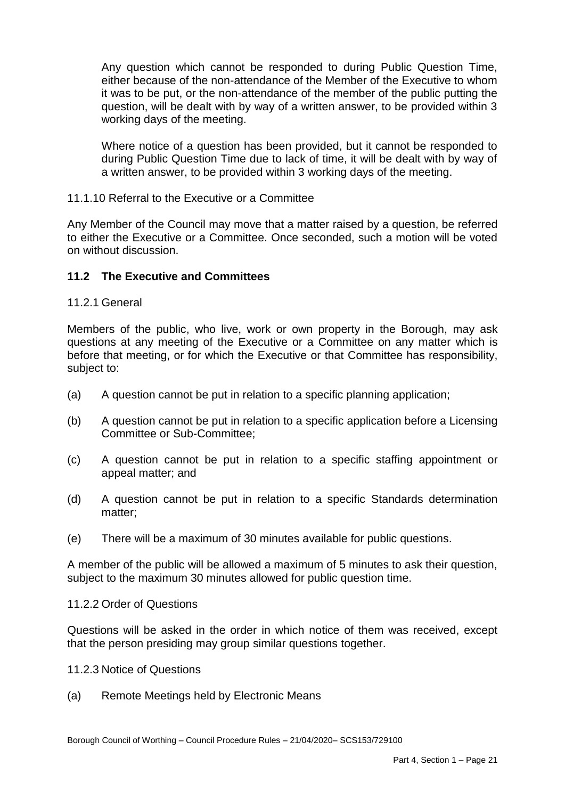Any question which cannot be responded to during Public Question Time, either because of the non-attendance of the Member of the Executive to whom it was to be put, or the non-attendance of the member of the public putting the question, will be dealt with by way of a written answer, to be provided within 3 working days of the meeting.

 Where notice of a question has been provided, but it cannot be responded to during Public Question Time due to lack of time, it will be dealt with by way of a written answer, to be provided within 3 working days of the meeting.

## 11.1.10 Referral to the Executive or a Committee

 Any Member of the Council may move that a matter raised by a question, be referred to either the Executive or a Committee. Once seconded, such a motion will be voted on without discussion.

# **11.2 The Executive and Committees**

## 11.2.1 General

 Members of the public, who live, work or own property in the Borough, may ask questions at any meeting of the Executive or a Committee on any matter which is before that meeting, or for which the Executive or that Committee has responsibility, subject to:

- (a) A question cannot be put in relation to a specific planning application;
- $(b)$ A question cannot be put in relation to a specific application before a Licensing Committee or Sub-Committee;
- $(c)$ A question cannot be put in relation to a specific staffing appointment or appeal matter; and
- $(d)$ A question cannot be put in relation to a specific Standards determination matter;
- (e) There will be a maximum of 30 minutes available for public questions.

 subject to the maximum 30 minutes allowed for public question time. A member of the public will be allowed a maximum of 5 minutes to ask their question,

#### 11.2.2 Order of Questions

 Questions will be asked in the order in which notice of them was received, except that the person presiding may group similar questions together.

- 11.2.3 Notice of Questions
- (a) Remote Meetings held by Electronic Means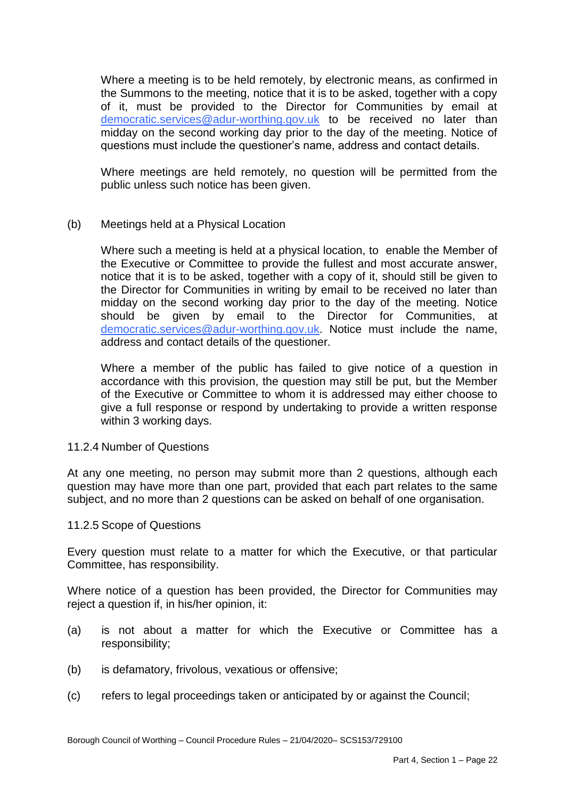Where a meeting is to be held remotely, by electronic means, as confirmed in the Summons to the meeting, notice that it is to be asked, together with a copy of it, must be provided to the Director for Communities by email at [democratic.services@adur-worthing.gov.uk](mailto:democratic.services@adur-worthing.gov.uk) to be received no later than midday on the second working day prior to the day of the meeting. Notice of questions must include the questioner's name, address and contact details.

 Where meetings are held remotely, no question will be permitted from the public unless such notice has been given.

(b) Meetings held at a Physical Location

 Where such a meeting is held at a physical location, to enable the Member of the Executive or Committee to provide the fullest and most accurate answer, notice that it is to be asked, together with a copy of it, should still be given to the Director for Communities in writing by email to be received no later than midday on the second working day prior to the day of the meeting. Notice should be given by email to the Director for Communities, at [democratic.services@adur-worthing.gov.uk.](mailto:democratic.services@adur-worthing.gov.uk) Notice must include the name, address and contact details of the questioner.

 Where a member of the public has failed to give notice of a question in accordance with this provision, the question may still be put, but the Member of the Executive or Committee to whom it is addressed may either choose to give a full response or respond by undertaking to provide a written response within 3 working days.

### 11.2.4 Number of Questions

 At any one meeting, no person may submit more than 2 questions, although each question may have more than one part, provided that each part relates to the same subject, and no more than 2 questions can be asked on behalf of one organisation.

#### 11.2.5 Scope of Questions

 Every question must relate to a matter for which the Executive, or that particular Committee, has responsibility.

 Where notice of a question has been provided, the Director for Communities may reject a question if, in his/her opinion, it:

- (a) is not about a matter for which the Executive or Committee has a responsibility;
- (b) is defamatory, frivolous, vexatious or offensive;
- (c) refers to legal proceedings taken or anticipated by or against the Council;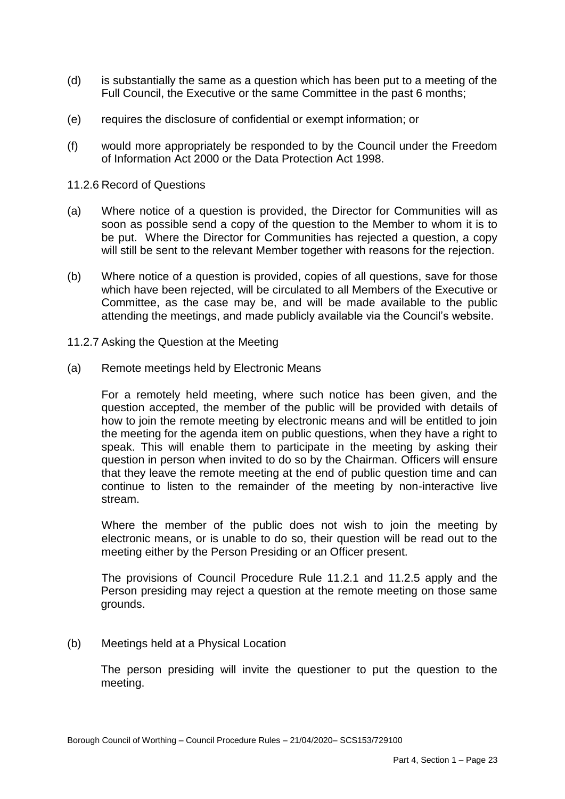- (d) is substantially the same as a question which has been put to a meeting of the Full Council, the Executive or the same Committee in the past 6 months;
- (e) requires the disclosure of confidential or exempt information; or
- (f) would more appropriately be responded to by the Council under the Freedom of Information Act 2000 or the Data Protection Act 1998.
- 11.2.6 Record of Questions
- (a) Where notice of a question is provided, the Director for Communities will as soon as possible send a copy of the question to the Member to whom it is to be put. Where the Director for Communities has rejected a question, a copy will still be sent to the relevant Member together with reasons for the rejection.
- (b) Where notice of a question is provided, copies of all questions, save for those which have been rejected, will be circulated to all Members of the Executive or Committee, as the case may be, and will be made available to the public attending the meetings, and made publicly available via the Council's website.
- 11.2.7 Asking the Question at the Meeting
- (a) Remote meetings held by Electronic Means

 For a remotely held meeting, where such notice has been given, and the question accepted, the member of the public will be provided with details of how to join the remote meeting by electronic means and will be entitled to join the meeting for the agenda item on public questions, when they have a right to speak. This will enable them to participate in the meeting by asking their question in person when invited to do so by the Chairman. Officers will ensure that they leave the remote meeting at the end of public question time and can continue to listen to the remainder of the meeting by non-interactive live stream.

 Where the member of the public does not wish to join the meeting by electronic means, or is unable to do so, their question will be read out to the meeting either by the Person Presiding or an Officer present.

 The provisions of Council Procedure Rule 11.2.1 and 11.2.5 apply and the Person presiding may reject a question at the remote meeting on those same grounds.

(b) Meetings held at a Physical Location

 The person presiding will invite the questioner to put the question to the meeting.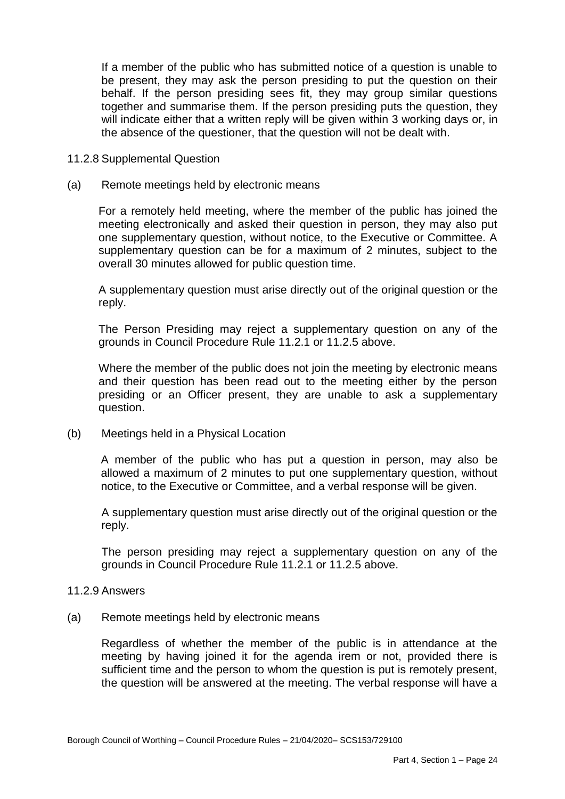If a member of the public who has submitted notice of a question is unable to be present, they may ask the person presiding to put the question on their behalf. If the person presiding sees fit, they may group similar questions together and summarise them. If the person presiding puts the question, they will indicate either that a written reply will be given within 3 working days or, in the absence of the questioner, that the question will not be dealt with.

- 11.2.8 Supplemental Question
- (a) Remote meetings held by electronic means

 For a remotely held meeting, where the member of the public has joined the meeting electronically and asked their question in person, they may also put one supplementary question, without notice, to the Executive or Committee. A supplementary question can be for a maximum of 2 minutes, subject to the overall 30 minutes allowed for public question time.

overall 30 minutes allowed for public question time.<br>A supplementary question must arise directly out of the original question or the reply.

 The Person Presiding may reject a supplementary question on any of the grounds in Council Procedure Rule 11.2.1 or 11.2.5 above.

 Where the member of the public does not join the meeting by electronic means and their question has been read out to the meeting either by the person presiding or an Officer present, they are unable to ask a supplementary question.

(b) Meetings held in a Physical Location

 A member of the public who has put a question in person, may also be allowed a maximum of 2 minutes to put one supplementary question, without notice, to the Executive or Committee, and a verbal response will be given.

A supplementary question must arise directly out of the original question or the reply.

 The person presiding may reject a supplementary question on any of the grounds in Council Procedure Rule 11.2.1 or 11.2.5 above.

#### 11.2.9 Answers

(a) Remote meetings held by electronic means

 Regardless of whether the member of the public is in attendance at the meeting by having joined it for the agenda irem or not, provided there is sufficient time and the person to whom the question is put is remotely present, the question will be answered at the meeting. The verbal response will have a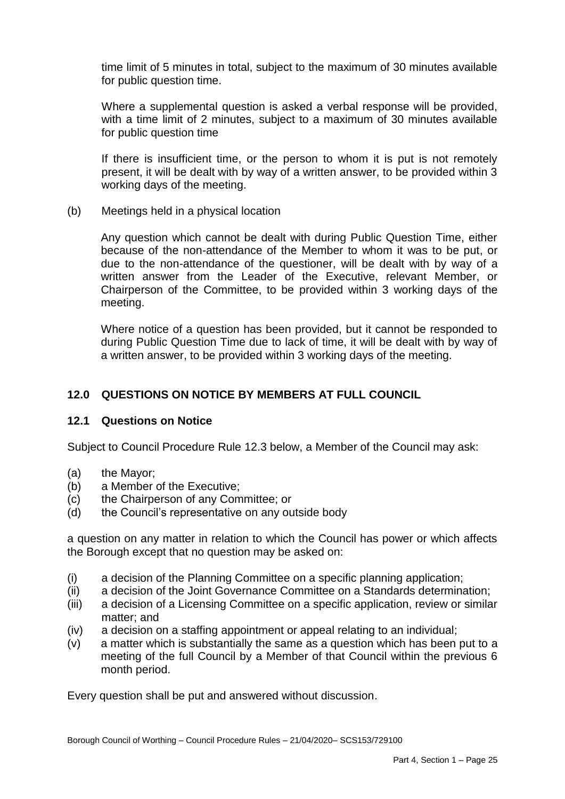time limit of 5 minutes in total, subject to the maximum of 30 minutes available for public question time.

 Where a supplemental question is asked a verbal response will be provided, with a time limit of 2 minutes, subject to a maximum of 30 minutes available for public question time

 If there is insufficient time, or the person to whom it is put is not remotely present, it will be dealt with by way of a written answer, to be provided within 3 working days of the meeting.

(b) Meetings held in a physical location

 Any question which cannot be dealt with during Public Question Time, either because of the non-attendance of the Member to whom it was to be put, or due to the non-attendance of the questioner, will be dealt with by way of a written answer from the Leader of the Executive, relevant Member, or Chairperson of the Committee, to be provided within 3 working days of the meeting.

 Where notice of a question has been provided, but it cannot be responded to during Public Question Time due to lack of time, it will be dealt with by way of a written answer, to be provided within 3 working days of the meeting.

# **12.0 QUESTIONS ON NOTICE BY MEMBERS AT FULL COUNCIL**

# **12.1 Questions on Notice**

Subject to Council Procedure Rule 12.3 below, a Member of the Council may ask:

- $(a)$ the Mavor:
- (b) a Member of the Executive;
- $(c)$ the Chairperson of any Committee; or
- the Council's representative on any outside body

(d) the Council's representative on any outside body<br>a question on any matter in relation to which the Council has power or which affects the Borough except that no question may be asked on:

- (i) a decision of the Planning Committee on a specific planning application;
- (ii) a decision of the Joint Governance Committee on a Standards determination;
- (iii) a decision of a Licensing Committee on a specific application, review or similar matter; and
- (iv) a decision on a staffing appointment or appeal relating to an individual;
- meeting of the full Council by a Member of that Council within the previous 6 month period. (v) a matter which is substantially the same as a question which has been put to a

Every question shall be put and answered without discussion.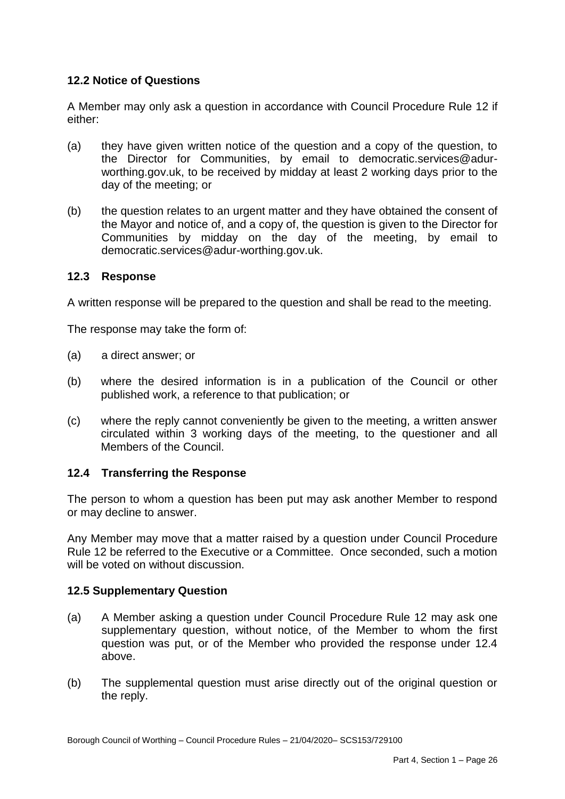# **12.2 Notice of Questions**

 A Member may only ask a question in accordance with Council Procedure Rule 12 if either:

- the Director for Communities, by email to [democratic.services@adur](mailto:democratic.services@adur)- worthing.gov.uk, to be received by midday at least 2 working days prior to the day of the meeting; or (a) they have given written notice of the question and a copy of the question, to
- the Mayor and notice of, and a copy of, the question is given to the Director for Communities by midday on the day of the meeting, by email to (b) the question relates to an urgent matter and they have obtained the consent of democratic.services@adur-worthing.gov.uk.

## **12.3 Response**

A written response will be prepared to the question and shall be read to the meeting.

The response may take the form of:

- (a) a direct answer; or
- (b) where the desired information is in a publication of the Council or other published work, a reference to that publication; or
- (c) where the reply cannot conveniently be given to the meeting, a written answer circulated within 3 working days of the meeting, to the questioner and all Members of the Council.

# **12.4 Transferring the Response**

 The person to whom a question has been put may ask another Member to respond or may decline to answer.

 Any Member may move that a matter raised by a question under Council Procedure Rule 12 be referred to the Executive or a Committee. Once seconded, such a motion will be voted on without discussion.

# **12.5 Supplementary Question**

- $(a)$  supplementary question, without notice, of the Member to whom the first question was put, or of the Member who provided the response under 12.4 A Member asking a question under Council Procedure Rule 12 may ask one above.
- $(b)$ The supplemental question must arise directly out of the original question or the reply.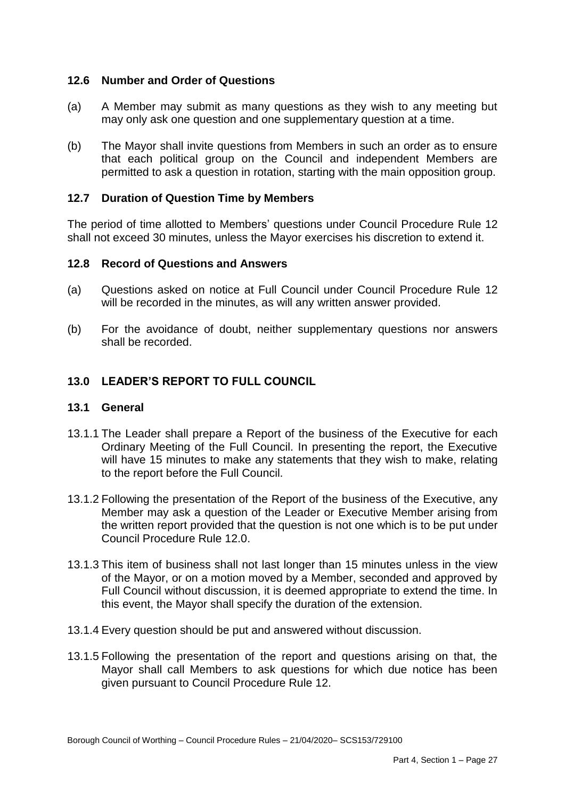# **12.6 Number and Order of Questions**

- (a) A Member may submit as many questions as they wish to any meeting but may only ask one question and one supplementary question at a time.
- $(b)$  that each political group on the Council and independent Members are permitted to ask a question in rotation, starting with the main opposition group. The Mayor shall invite questions from Members in such an order as to ensure

## **12.7 Duration of Question Time by Members**

 The period of time allotted to Members' questions under Council Procedure Rule 12 shall not exceed 30 minutes, unless the Mayor exercises his discretion to extend it.

## **12.8 Record of Questions and Answers**

- (a) Questions asked on notice at Full Council under Council Procedure Rule 12 will be recorded in the minutes, as will any written answer provided.
- $(b)$ For the avoidance of doubt, neither supplementary questions nor answers shall be recorded.

# **13.0 LEADER'S REPORT TO FULL COUNCIL**

## **13.1 General**

- 13.1.1 The Leader shall prepare a Report of the business of the Executive for each Ordinary Meeting of the Full Council. In presenting the report, the Executive will have 15 minutes to make any statements that they wish to make, relating to the report before the Full Council.
- 13.1.2 Following the presentation of the Report of the business of the Executive, any Member may ask a question of the Leader or Executive Member arising from the written report provided that the question is not one which is to be put under Council Procedure Rule 12.0.
- 13.1.3 This item of business shall not last longer than 15 minutes unless in the view of the Mayor, or on a motion moved by a Member, seconded and approved by Full Council without discussion, it is deemed appropriate to extend the time. In this event, the Mayor shall specify the duration of the extension.
- 13.1.4 Every question should be put and answered without discussion.
- 13.1.5 Following the presentation of the report and questions arising on that, the Mayor shall call Members to ask questions for which due notice has been given pursuant to Council Procedure Rule 12.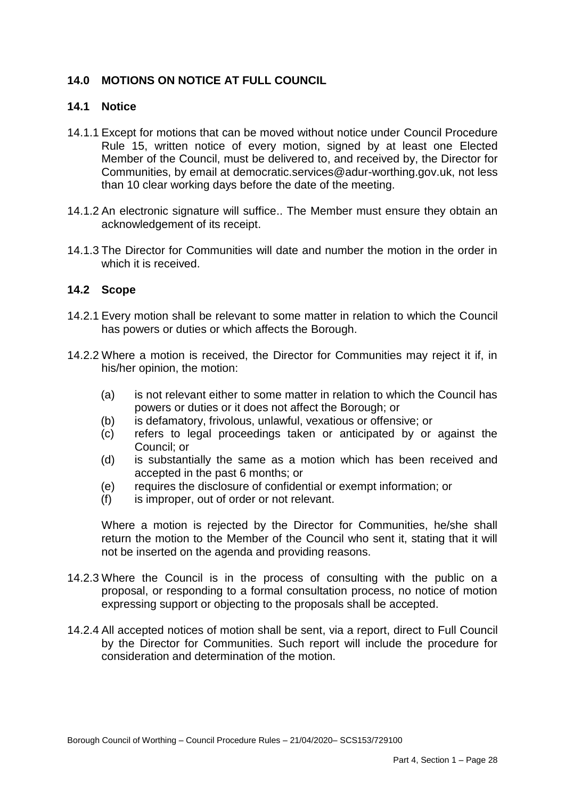# **14.0 MOTIONS ON NOTICE AT FULL COUNCIL**

# **14.1 Notice**

- 14.1.1 Except for motions that can be moved without notice under Council Procedure Rule 15, written notice of every motion, signed by at least one Elected Member of the Council, must be delivered to, and received by, the Director for Communities, by email at democratic.services@adur-worthing.gov.uk, not less than 10 clear working days before the date of the meeting.
- 14.1.2 An electronic signature will suffice.. The Member must ensure they obtain an acknowledgement of its receipt.
- 14.1.3 The Director for Communities will date and number the motion in the order in which it is received.

# **14.2 Scope**

- 14.2.1 Every motion shall be relevant to some matter in relation to which the Council has powers or duties or which affects the Borough.
- 14.2.2 Where a motion is received, the Director for Communities may reject it if, in his/her opinion, the motion:
	- (a) is not relevant either to some matter in relation to which the Council has powers or duties or it does not affect the Borough; or
	- (b) is defamatory, frivolous, unlawful, vexatious or offensive; or
	- (c) refers to legal proceedings taken or anticipated by or against the Council; or
	- (d) is substantially the same as a motion which has been received and accepted in the past 6 months; or
	- (e) requires the disclosure of confidential or exempt information; or
	- (f) is improper, out of order or not relevant.

 Where a motion is rejected by the Director for Communities, he/she shall return the motion to the Member of the Council who sent it, stating that it will not be inserted on the agenda and providing reasons.

- 14.2.3 Where the Council is in the process of consulting with the public on a proposal, or responding to a formal consultation process, no notice of motion expressing support or objecting to the proposals shall be accepted.
- 14.2.4 All accepted notices of motion shall be sent, via a report, direct to Full Council by the Director for Communities. Such report will include the procedure for consideration and determination of the motion.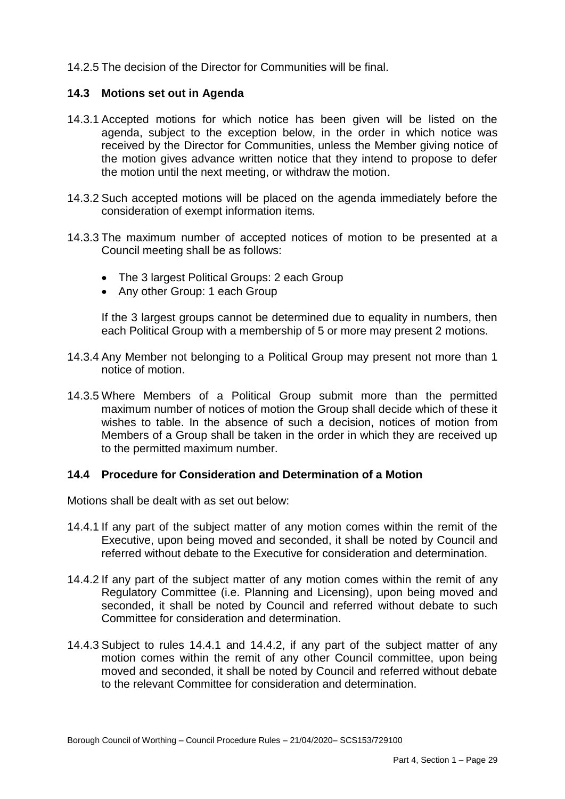14.2.5 The decision of the Director for Communities will be final.

# **14.3 Motions set out in Agenda**

- 14.3.1 Accepted motions for which notice has been given will be listed on the agenda, subject to the exception below, in the order in which notice was received by the Director for Communities, unless the Member giving notice of the motion gives advance written notice that they intend to propose to defer the motion until the next meeting, or withdraw the motion.
- 14.3.2 Such accepted motions will be placed on the agenda immediately before the consideration of exempt information items.
- 14.3.3 The maximum number of accepted notices of motion to be presented at a Council meeting shall be as follows:
	- The 3 largest Political Groups: 2 each Group
	- Any other Group: 1 each Group

 If the 3 largest groups cannot be determined due to equality in numbers, then each Political Group with a membership of 5 or more may present 2 motions.

- 14.3.4 Any Member not belonging to a Political Group may present not more than 1 notice of motion.
- 14.3.5 Where Members of a Political Group submit more than the permitted maximum number of notices of motion the Group shall decide which of these it wishes to table. In the absence of such a decision, notices of motion from Members of a Group shall be taken in the order in which they are received up to the permitted maximum number.

#### **14.4 Procedure for Consideration and Determination of a Motion**

Motions shall be dealt with as set out below:

- 14.4.1 If any part of the subject matter of any motion comes within the remit of the Executive, upon being moved and seconded, it shall be noted by Council and referred without debate to the Executive for consideration and determination.
- 14.4.2 If any part of the subject matter of any motion comes within the remit of any Regulatory Committee (i.e. Planning and Licensing), upon being moved and seconded, it shall be noted by Council and referred without debate to such Committee for consideration and determination.
- 14.4.3 Subject to rules 14.4.1 and 14.4.2, if any part of the subject matter of any motion comes within the remit of any other Council committee, upon being moved and seconded, it shall be noted by Council and referred without debate to the relevant Committee for consideration and determination.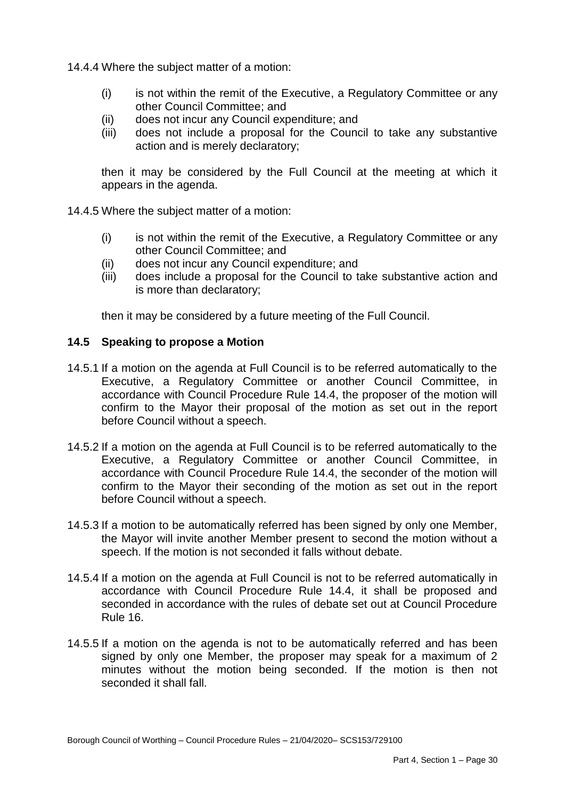14.4.4 Where the subject matter of a motion:

- (i) is not within the remit of the Executive, a Regulatory Committee or any other Council Committee; and
- (ii) does not incur any Council expenditure; and
- (iii) does not include a proposal for the Council to take any substantive action and is merely declaratory;

 then it may be considered by the Full Council at the meeting at which it appears in the agenda.

14.4.5 Where the subject matter of a motion:

- (i) is not within the remit of the Executive, a Regulatory Committee or any other Council Committee; and
- (ii) does not incur any Council expenditure; and
- (iii) does include a proposal for the Council to take substantive action and is more than declaratory;

then it may be considered by a future meeting of the Full Council.

#### **14.5 Speaking to propose a Motion**

- 14.5.1 If a motion on the agenda at Full Council is to be referred automatically to the accordance with Council Procedure Rule 14.4, the proposer of the motion will confirm to the Mayor their proposal of the motion as set out in the report Executive, a Regulatory Committee or another Council Committee, in before Council without a speech.
- 14.5.2 If a motion on the agenda at Full Council is to be referred automatically to the accordance with Council Procedure Rule 14.4, the seconder of the motion will confirm to the Mayor their seconding of the motion as set out in the report Executive, a Regulatory Committee or another Council Committee, in before Council without a speech.
- 14.5.3 If a motion to be automatically referred has been signed by only one Member, the Mayor will invite another Member present to second the motion without a speech. If the motion is not seconded it falls without debate.
- 14.5.4 If a motion on the agenda at Full Council is not to be referred automatically in accordance with Council Procedure Rule 14.4, it shall be proposed and seconded in accordance with the rules of debate set out at Council Procedure Rule 16.
- 14.5.5 If a motion on the agenda is not to be automatically referred and has been signed by only one Member, the proposer may speak for a maximum of 2 minutes without the motion being seconded. If the motion is then not seconded it shall fall.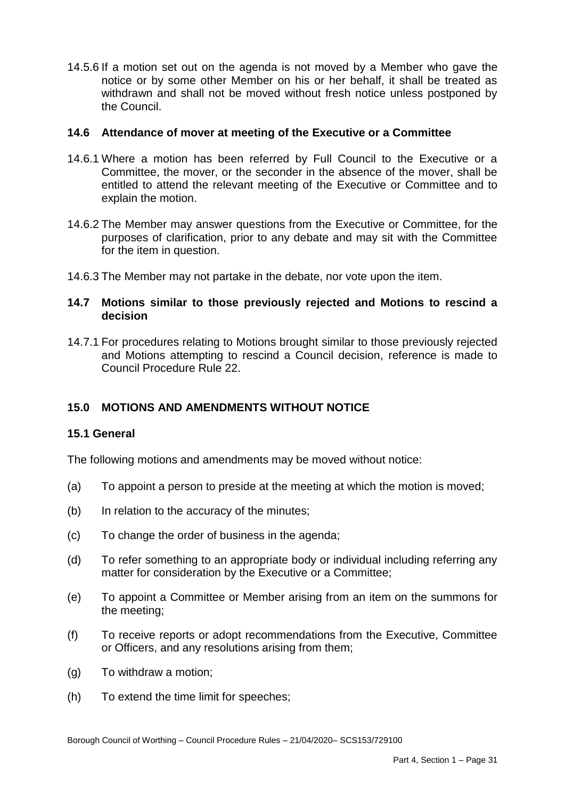14.5.6 If a motion set out on the agenda is not moved by a Member who gave the notice or by some other Member on his or her behalf, it shall be treated as withdrawn and shall not be moved without fresh notice unless postponed by the Council.

# **14.6 Attendance of mover at meeting of the Executive or a Committee**

- 14.6.1 Where a motion has been referred by Full Council to the Executive or a Committee, the mover, or the seconder in the absence of the mover, shall be entitled to attend the relevant meeting of the Executive or Committee and to explain the motion.
- 14.6.2 The Member may answer questions from the Executive or Committee, for the purposes of clarification, prior to any debate and may sit with the Committee for the item in question.
- 14.6.3 The Member may not partake in the debate, nor vote upon the item.

# **14.7 Motions similar to those previously rejected and Motions to rescind a decision**

 14.7.1 For procedures relating to Motions brought similar to those previously rejected and Motions attempting to rescind a Council decision, reference is made to Council Procedure Rule 22.

# **15.0 MOTIONS AND AMENDMENTS WITHOUT NOTICE**

# **15.1 General**

The following motions and amendments may be moved without notice:

- (a) To appoint a person to preside at the meeting at which the motion is moved;
- (b) In relation to the accuracy of the minutes;
- (c) To change the order of business in the agenda;
- $(d)$ To refer something to an appropriate body or individual including referring any matter for consideration by the Executive or a Committee;
- $(e)$  the meeting; To appoint a Committee or Member arising from an item on the summons for
- $(f)$  or Officers, and any resolutions arising from them; (f) To receive reports or adopt recommendations from the Executive, Committee
- (g) To withdraw a motion;
- (h) To extend the time limit for speeches;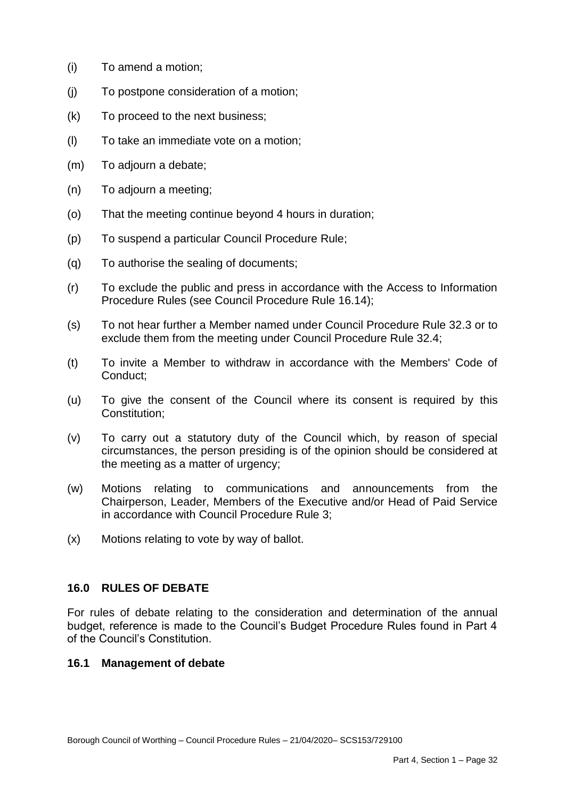- (i) To amend a motion;
- (j) To postpone consideration of a motion;
- (k) To proceed to the next business;
- (l) To take an immediate vote on a motion;
- (m) To adjourn a debate;
- (n) To adjourn a meeting;
- (o) That the meeting continue beyond 4 hours in duration;
- (p) To suspend a particular Council Procedure Rule;
- (q) To authorise the sealing of documents;
- $(r)$  Procedure Rules (see Council Procedure Rule 16.14); To exclude the public and press in accordance with the Access to Information
- $(s)$  exclude them from the meeting under Council Procedure Rule 32.4; To not hear further a Member named under Council Procedure Rule 32.3 or to
- $(t)$ To invite a Member to withdraw in accordance with the Members' Code of Conduct;
- $(u)$ To give the consent of the Council where its consent is required by this Constitution;
- $(v)$  circumstances, the person presiding is of the opinion should be considered at To carry out a statutory duty of the Council which, by reason of special the meeting as a matter of urgency;
- (w) Motions relating to communications and announcements from the Chairperson, Leader, Members of the Executive and/or Head of Paid Service in accordance with Council Procedure Rule 3;
- (x) Motions relating to vote by way of ballot.

# **16.0 RULES OF DEBATE**

 For rules of debate relating to the consideration and determination of the annual budget, reference is made to the Council's Budget Procedure Rules found in Part 4 of the Council's Constitution.

# **16.1 Management of debate**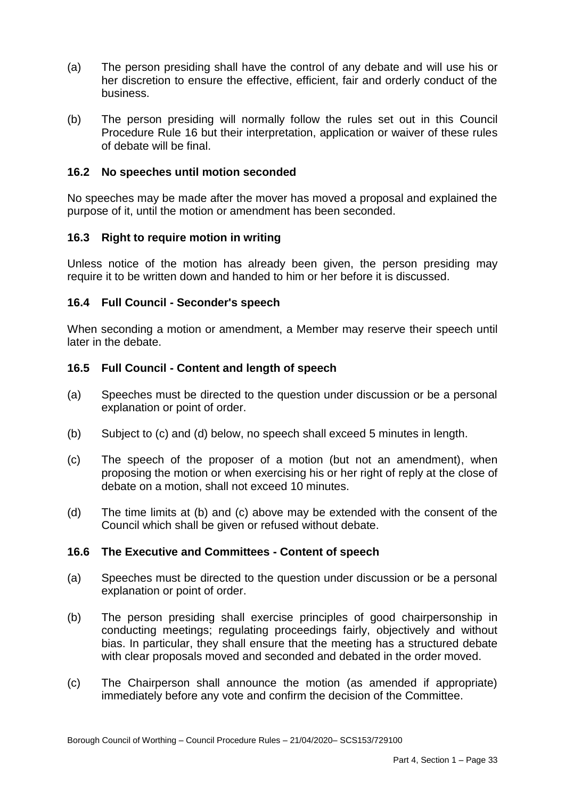- her discretion to ensure the effective, efficient, fair and orderly conduct of the (a) The person presiding shall have the control of any debate and will use his or business.
- $(b)$  Procedure Rule 16 but their interpretation, application or waiver of these rules of debate will be final. The person presiding will normally follow the rules set out in this Council

## **16.2 No speeches until motion seconded**

 No speeches may be made after the mover has moved a proposal and explained the purpose of it, until the motion or amendment has been seconded.

# **16.3 Right to require motion in writing**

 Unless notice of the motion has already been given, the person presiding may require it to be written down and handed to him or her before it is discussed.

## **16.4 Full Council - Seconder's speech**

 When seconding a motion or amendment, a Member may reserve their speech until later in the debate.

## **16.5 Full Council - Content and length of speech**

- (a) Speeches must be directed to the question under discussion or be a personal explanation or point of order.
- (b) Subject to (c) and (d) below, no speech shall exceed 5 minutes in length.
- $(c)$  debate on a motion, shall not exceed 10 minutes. The speech of the proposer of a motion (but not an amendment), when proposing the motion or when exercising his or her right of reply at the close of
- $(d)$ The time limits at (b) and (c) above may be extended with the consent of the Council which shall be given or refused without debate.

#### **16.6 The Executive and Committees - Content of speech**

- (a) Speeches must be directed to the question under discussion or be a personal explanation or point of order.
- $(b)$  conducting meetings; regulating proceedings fairly, objectively and without bias. In particular, they shall ensure that the meeting has a structured debate The person presiding shall exercise principles of good chairpersonship in with clear proposals moved and seconded and debated in the order moved.
- $(c)$  immediately before any vote and confirm the decision of the Committee. The Chairperson shall announce the motion (as amended if appropriate)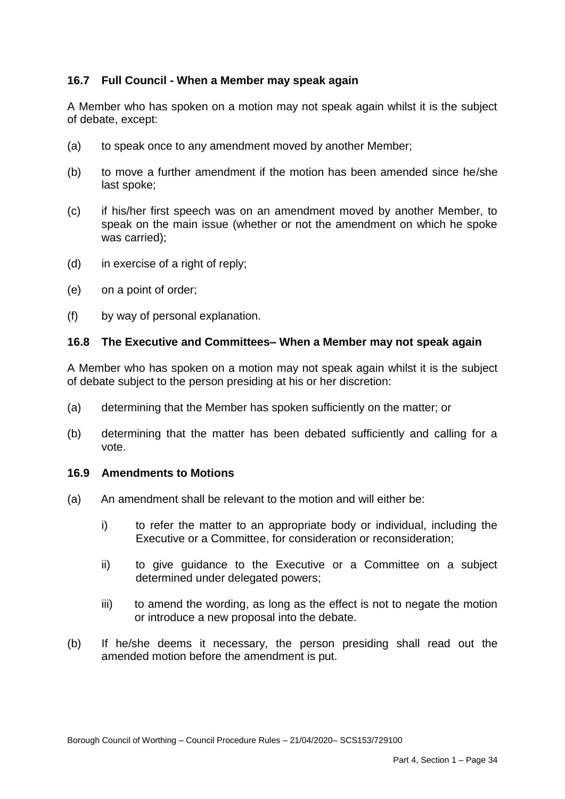# **16.7 Full Council - When a Member may speak again**

 A Member who has spoken on a motion may not speak again whilst it is the subject of debate, except:

- (a) to speak once to any amendment moved by another Member;
- $(b)$  last spoke; to move a further amendment if the motion has been amended since he/she
- $(c)$  speak on the main issue (whether or not the amendment on which he spoke if his/her first speech was on an amendment moved by another Member, to was carried);
- (d) in exercise of a right of reply;
- (e) on a point of order;
- $(f)$ by way of personal explanation.

## **16.8 The Executive and Committees– When a Member may not speak again**

 A Member who has spoken on a motion may not speak again whilst it is the subject of debate subject to the person presiding at his or her discretion:

- (a) determining that the Member has spoken sufficiently on the matter; or
- (b) determining that the matter has been debated sufficiently and calling for a vote.

#### **16.9 Amendments to Motions**

- $(a)$ An amendment shall be relevant to the motion and will either be:
	- i) to refer the matter to an appropriate body or individual, including the Executive or a Committee, for consideration or reconsideration;
	- $\mathsf{ii}$ to give guidance to the Executive or a Committee on a subject determined under delegated powers;
	- iii) or introduce a new proposal into the debate. to amend the wording, as long as the effect is not to negate the motion
- $(b)$  amended motion before the amendment is put. If he/she deems it necessary, the person presiding shall read out the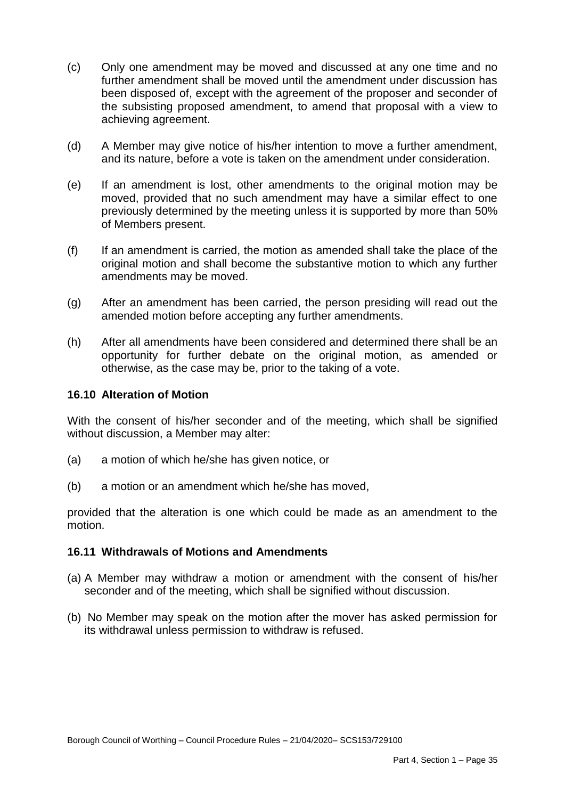- $(c)$  further amendment shall be moved until the amendment under discussion has achieving agreement. Only one amendment may be moved and discussed at any one time and no been disposed of, except with the agreement of the proposer and seconder of the subsisting proposed amendment, to amend that proposal with a view to
- $(d)$  and its nature, before a vote is taken on the amendment under consideration. A Member may give notice of his/her intention to move a further amendment,
- $(e)$  moved, provided that no such amendment may have a similar effect to one previously determined by the meeting unless it is supported by more than 50% If an amendment is lost, other amendments to the original motion may be of Members present.
- $(f)$  original motion and shall become the substantive motion to which any further amendments may be moved. If an amendment is carried, the motion as amended shall take the place of the
- $(q)$  amended motion before accepting any further amendments. After an amendment has been carried, the person presiding will read out the
- $(h)$  opportunity for further debate on the original motion, as amended or otherwise, as the case may be, prior to the taking of a vote. After all amendments have been considered and determined there shall be an

# **16.10 Alteration of Motion**

 With the consent of his/her seconder and of the meeting, which shall be signified without discussion, a Member may alter:

- (a) a motion of which he/she has given notice, or
- (b) a motion or an amendment which he/she has moved,

 provided that the alteration is one which could be made as an amendment to the motion.

#### **16.11 Withdrawals of Motions and Amendments**

- (a) A Member may withdraw a motion or amendment with the consent of his/her seconder and of the meeting, which shall be signified without discussion.
- (b) No Member may speak on the motion after the mover has asked permission for its withdrawal unless permission to withdraw is refused.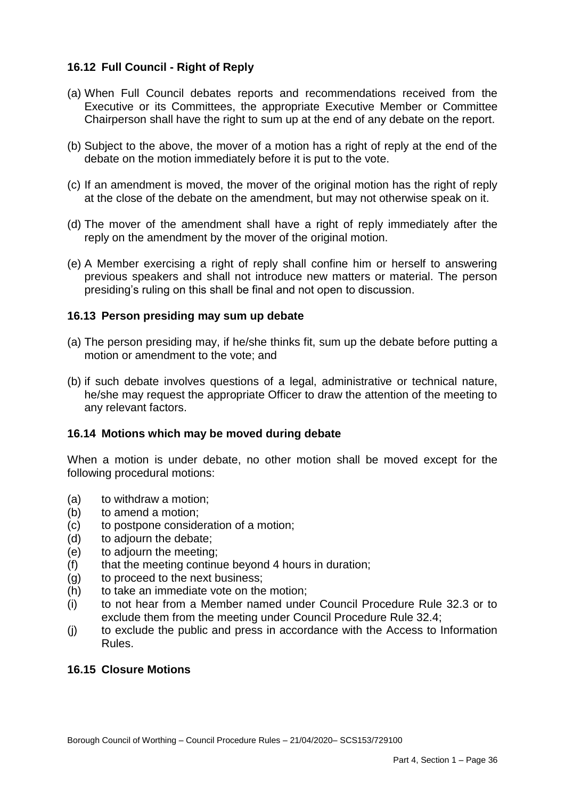# **16.12 Full Council - Right of Reply**

- (a) When Full Council debates reports and recommendations received from the Executive or its Committees, the appropriate Executive Member or Committee Chairperson shall have the right to sum up at the end of any debate on the report.
- (b) Subject to the above, the mover of a motion has a right of reply at the end of the debate on the motion immediately before it is put to the vote.
- (c) If an amendment is moved, the mover of the original motion has the right of reply at the close of the debate on the amendment, but may not otherwise speak on it.
- (d) The mover of the amendment shall have a right of reply immediately after the reply on the amendment by the mover of the original motion.
- (e) A Member exercising a right of reply shall confine him or herself to answering previous speakers and shall not introduce new matters or material. The person presiding's ruling on this shall be final and not open to discussion.

## **16.13 Person presiding may sum up debate**

- (a) The person presiding may, if he/she thinks fit, sum up the debate before putting a motion or amendment to the vote; and
- (b) if such debate involves questions of a legal, administrative or technical nature, he/she may request the appropriate Officer to draw the attention of the meeting to any relevant factors.

## **16.14 Motions which may be moved during debate**

 When a motion is under debate, no other motion shall be moved except for the following procedural motions:

- (a) to withdraw a motion;
- (b) to amend a motion;
- (c) to postpone consideration of a motion;
- (d) to adjourn the debate;
- (e) to adjourn the meeting;
- (f) that the meeting continue beyond 4 hours in duration;
- (g) to proceed to the next business;
- (h) to take an immediate vote on the motion;
- $(i)$  exclude them from the meeting under Council Procedure Rule 32.4; (i) to not hear from a Member named under Council Procedure Rule 32.3 or to
- $(i)$ to exclude the public and press in accordance with the Access to Information Rules.

#### **16.15 Closure Motions**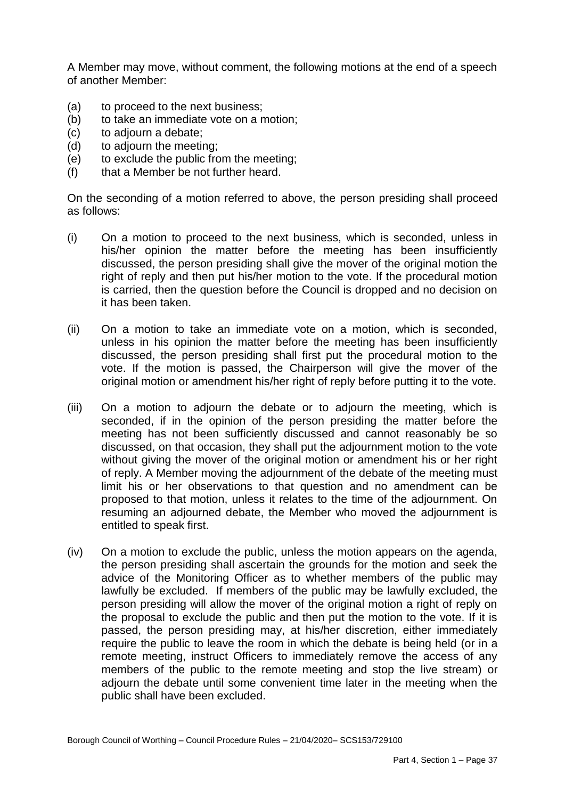A Member may move, without comment, the following motions at the end of a speech of another Member:

- (a) to proceed to the next business;
- (b) to take an immediate vote on a motion;
- (c) to adjourn a debate;
- (d) to adjourn the meeting;
- (e) to exclude the public from the meeting;
- (f) that a Member be not further heard.

 On the seconding of a motion referred to above, the person presiding shall proceed as follows:

- $(i)$  his/her opinion the matter before the meeting has been insufficiently discussed, the person presiding shall give the mover of the original motion the right of reply and then put his/her motion to the vote. If the procedural motion is carried, then the question before the Council is dropped and no decision on On a motion to proceed to the next business, which is seconded, unless in it has been taken.
- $(ii)$  unless in his opinion the matter before the meeting has been insufficiently discussed, the person presiding shall first put the procedural motion to the vote. If the motion is passed, the Chairperson will give the mover of the original motion or amendment his/her right of reply before putting it to the vote. On a motion to take an immediate vote on a motion, which is seconded,
- $(iii)$  seconded, if in the opinion of the person presiding the matter before the meeting has not been sufficiently discussed and cannot reasonably be so discussed, on that occasion, they shall put the adjournment motion to the vote without giving the mover of the original motion or amendment his or her right of reply. A Member moving the adjournment of the debate of the meeting must limit his or her observations to that question and no amendment can be proposed to that motion, unless it relates to the time of the adjournment. On resuming an adjourned debate, the Member who moved the adjournment is entitled to speak first. On a motion to adjourn the debate or to adjourn the meeting, which is
- $(iv)$  the person presiding shall ascertain the grounds for the motion and seek the advice of the Monitoring Officer as to whether members of the public may lawfully be excluded. If members of the public may be lawfully excluded, the person presiding will allow the mover of the original motion a right of reply on the proposal to exclude the public and then put the motion to the vote. If it is passed, the person presiding may, at his/her discretion, either immediately require the public to leave the room in which the debate is being held (or in a remote meeting, instruct Officers to immediately remove the access of any members of the public to the remote meeting and stop the live stream) or adjourn the debate until some convenient time later in the meeting when the public shall have been excluded. On a motion to exclude the public, unless the motion appears on the agenda,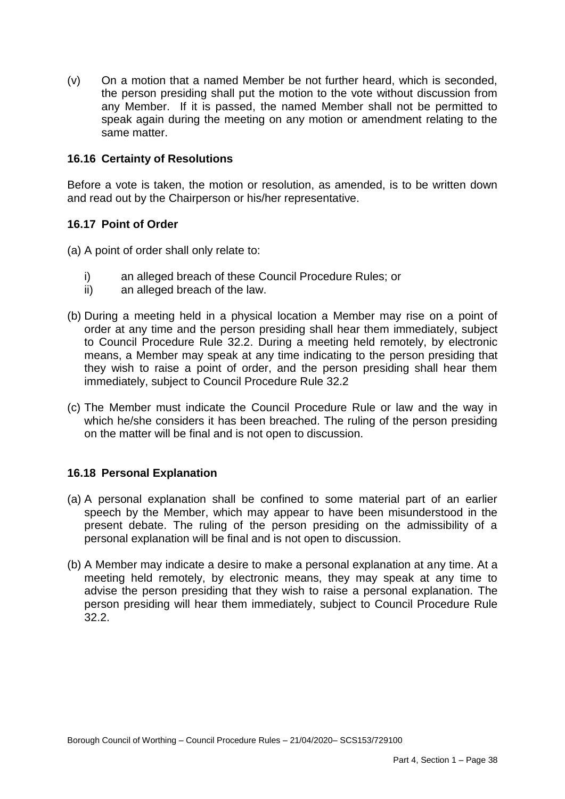$(v)$  the person presiding shall put the motion to the vote without discussion from any Member. If it is passed, the named Member shall not be permitted to speak again during the meeting on any motion or amendment relating to the On a motion that a named Member be not further heard, which is seconded, same matter.

# **16.16 Certainty of Resolutions**

 Before a vote is taken, the motion or resolution, as amended, is to be written down and read out by the Chairperson or his/her representative.

# **16.17 Point of Order**

- (a) A point of order shall only relate to:
	- i) an alleged breach of these Council Procedure Rules; or
	- ii) an alleged breach of the law.
- (b) During a meeting held in a physical location a Member may rise on a point of order at any time and the person presiding shall hear them immediately, subject to Council Procedure Rule 32.2. During a meeting held remotely, by electronic means, a Member may speak at any time indicating to the person presiding that they wish to raise a point of order, and the person presiding shall hear them immediately, subject to Council Procedure Rule 32.2
- (c) The Member must indicate the Council Procedure Rule or law and the way in which he/she considers it has been breached. The ruling of the person presiding on the matter will be final and is not open to discussion.

# **16.18 Personal Explanation**

- (a) A personal explanation shall be confined to some material part of an earlier speech by the Member, which may appear to have been misunderstood in the present debate. The ruling of the person presiding on the admissibility of a personal explanation will be final and is not open to discussion.
- (b) A Member may indicate a desire to make a personal explanation at any time. At a meeting held remotely, by electronic means, they may speak at any time to advise the person presiding that they wish to raise a personal explanation. The person presiding will hear them immediately, subject to Council Procedure Rule 32.2.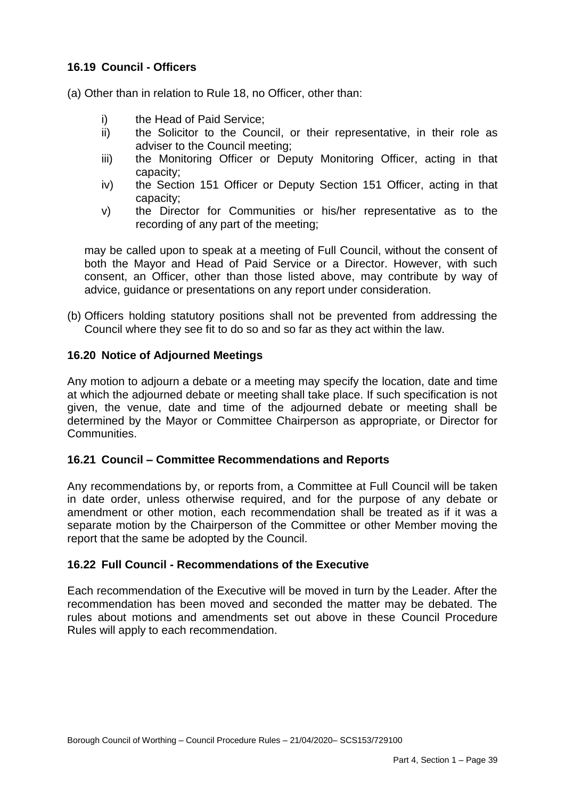# **16.19 Council - Officers**

(a) Other than in relation to Rule 18, no Officer, other than:

- i) the Head of Paid Service;
- adviser to the Council meeting; ii) the Solicitor to the Council, or their representative, in their role as
- iii) the Monitoring Officer or Deputy Monitoring Officer, acting in that capacity;
- iv) the Section 151 Officer or Deputy Section 151 Officer, acting in that capacity;
- v) the Director for Communities or his/her representative as to the recording of any part of the meeting;

 may be called upon to speak at a meeting of Full Council, without the consent of both the Mayor and Head of Paid Service or a Director. However, with such consent, an Officer, other than those listed above, may contribute by way of advice, guidance or presentations on any report under consideration.

 (b) Officers holding statutory positions shall not be prevented from addressing the Council where they see fit to do so and so far as they act within the law.

## **16.20 Notice of Adjourned Meetings**

 Any motion to adjourn a debate or a meeting may specify the location, date and time at which the adjourned debate or meeting shall take place. If such specification is not given, the venue, date and time of the adjourned debate or meeting shall be determined by the Mayor or Committee Chairperson as appropriate, or Director for Communities.

# **16.21 Council – Committee Recommendations and Reports**

 Any recommendations by, or reports from, a Committee at Full Council will be taken in date order, unless otherwise required, and for the purpose of any debate or amendment or other motion, each recommendation shall be treated as if it was a separate motion by the Chairperson of the Committee or other Member moving the report that the same be adopted by the Council.

#### **16.22 Full Council - Recommendations of the Executive**

 Each recommendation of the Executive will be moved in turn by the Leader. After the recommendation has been moved and seconded the matter may be debated. The rules about motions and amendments set out above in these Council Procedure Rules will apply to each recommendation.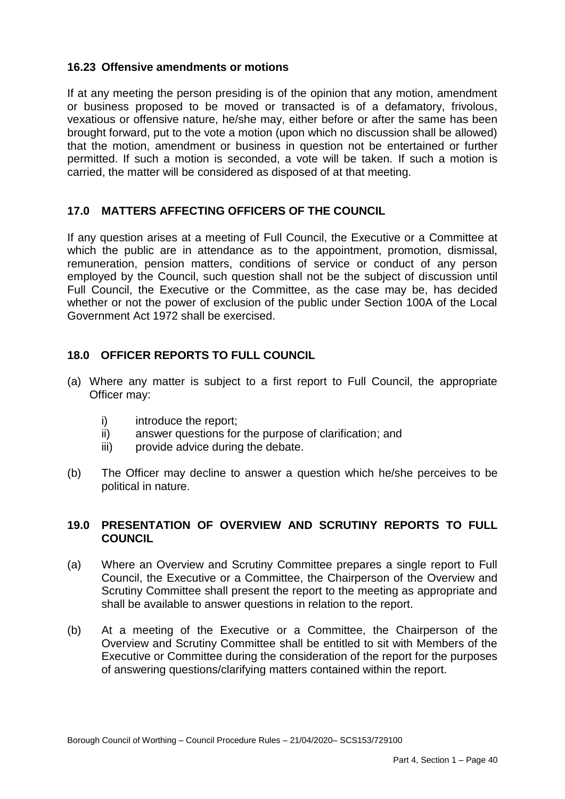# **16.23 Offensive amendments or motions**

 If at any meeting the person presiding is of the opinion that any motion, amendment or business proposed to be moved or transacted is of a defamatory, frivolous, vexatious or offensive nature, he/she may, either before or after the same has been that the motion, amendment or business in question not be entertained or further permitted. If such a motion is seconded, a vote will be taken. If such a motion is carried, the matter will be considered as disposed of at that meeting. brought forward, put to the vote a motion (upon which no discussion shall be allowed)

# **17.0 MATTERS AFFECTING OFFICERS OF THE COUNCIL**

 If any question arises at a meeting of Full Council, the Executive or a Committee at which the public are in attendance as to the appointment, promotion, dismissal, remuneration, pension matters, conditions of service or conduct of any person employed by the Council, such question shall not be the subject of discussion until Full Council, the Executive or the Committee, as the case may be, has decided whether or not the power of exclusion of the public under Section 100A of the Local Government Act 1972 shall be exercised.

# **18.0 OFFICER REPORTS TO FULL COUNCIL**

- (a) Where any matter is subject to a first report to Full Council, the appropriate Officer may:
	- i) introduce the report:
	- ii) answer questions for the purpose of clarification; and
	- iii) provide advice during the debate.
- $(b)$ The Officer may decline to answer a question which he/she perceives to be political in nature.

# **19.0 PRESENTATION OF OVERVIEW AND SCRUTINY REPORTS TO FULL COUNCIL**

- $(a)$  Council, the Executive or a Committee, the Chairperson of the Overview and Scrutiny Committee shall present the report to the meeting as appropriate and Where an Overview and Scrutiny Committee prepares a single report to Full shall be available to answer questions in relation to the report.
- $(b)$  Overview and Scrutiny Committee shall be entitled to sit with Members of the (b) At a meeting of the Executive or a Committee, the Chairperson of the Executive or Committee during the consideration of the report for the purposes of answering questions/clarifying matters contained within the report.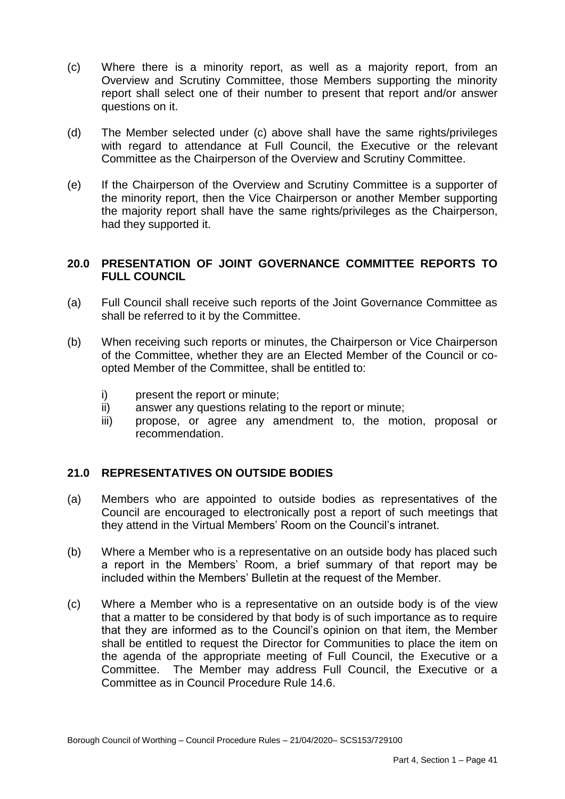- $(c)$  Overview and Scrutiny Committee, those Members supporting the minority report shall select one of their number to present that report and/or answer questions on it. Where there is a minority report, as well as a majority report, from an
- $(d)$  with regard to attendance at Full Council, the Executive or the relevant The Member selected under (c) above shall have the same rights/privileges Committee as the Chairperson of the Overview and Scrutiny Committee.
- $(e)$  the minority report, then the Vice Chairperson or another Member supporting the majority report shall have the same rights/privileges as the Chairperson, If the Chairperson of the Overview and Scrutiny Committee is a supporter of had they supported it.

# **20.0 PRESENTATION OF JOINT GOVERNANCE COMMITTEE REPORTS TO FULL COUNCIL**

- (a) Full Council shall receive such reports of the Joint Governance Committee as shall be referred to it by the Committee.
- $(b)$  of the Committee, whether they are an Elected Member of the Council or co-When receiving such reports or minutes, the Chairperson or Vice Chairperson opted Member of the Committee, shall be entitled to:
	- i) present the report or minute;
	- ii) answer any questions relating to the report or minute;
	- propose, or agree any amendment to, the motion, proposal or iii) recommendation.

# **21.0 REPRESENTATIVES ON OUTSIDE BODIES**

- (a) Members who are appointed to outside bodies as representatives of the Council are encouraged to electronically post a report of such meetings that they attend in the Virtual Members' Room on the Council's intranet.
- $(b)$  a report in the Members' Room, a brief summary of that report may be Where a Member who is a representative on an outside body has placed such included within the Members' Bulletin at the request of the Member.
- (c) Where a Member who is a representative on an outside body is of the view that a matter to be considered by that body is of such importance as to require that they are informed as to the Council's opinion on that item, the Member shall be entitled to request the Director for Communities to place the item on the agenda of the appropriate meeting of Full Council, the Executive or a Committee. The Member may address Full Council, the Executive or a Committee as in Council Procedure Rule 14.6.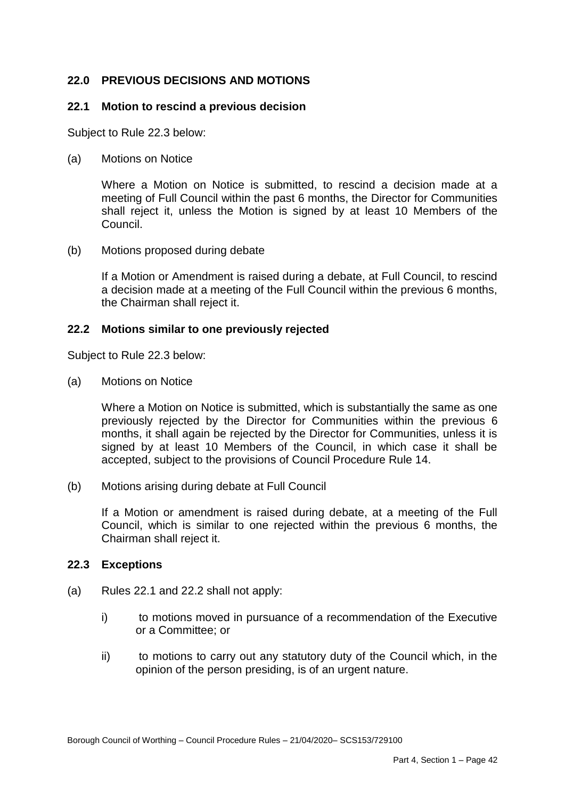# **22.0 PREVIOUS DECISIONS AND MOTIONS**

## **22.1 Motion to rescind a previous decision**

Subject to Rule 22.3 below:

(a) Motions on Notice

 Where a Motion on Notice is submitted, to rescind a decision made at a meeting of Full Council within the past 6 months, the Director for Communities shall reject it, unless the Motion is signed by at least 10 Members of the **Council** 

(b) Motions proposed during debate

 If a Motion or Amendment is raised during a debate, at Full Council, to rescind a decision made at a meeting of the Full Council within the previous 6 months, the Chairman shall reject it.

## **22.2 Motions similar to one previously rejected**

Subject to Rule 22.3 below:

(a) Motions on Notice

 Where a Motion on Notice is submitted, which is substantially the same as one previously rejected by the Director for Communities within the previous 6 months, it shall again be rejected by the Director for Communities, unless it is signed by at least 10 Members of the Council, in which case it shall be accepted, subject to the provisions of Council Procedure Rule 14.

(b) Motions arising during debate at Full Council

 Council, which is similar to one rejected within the previous 6 months, the Chairman shall reject it. If a Motion or amendment is raised during debate, at a meeting of the Full

# **22.3 Exceptions**

- (a) Rules 22.1 and 22.2 shall not apply:
	- i) or a Committee; or to motions moved in pursuance of a recommendation of the Executive
	- ii) opinion of the person presiding, is of an urgent nature. to motions to carry out any statutory duty of the Council which, in the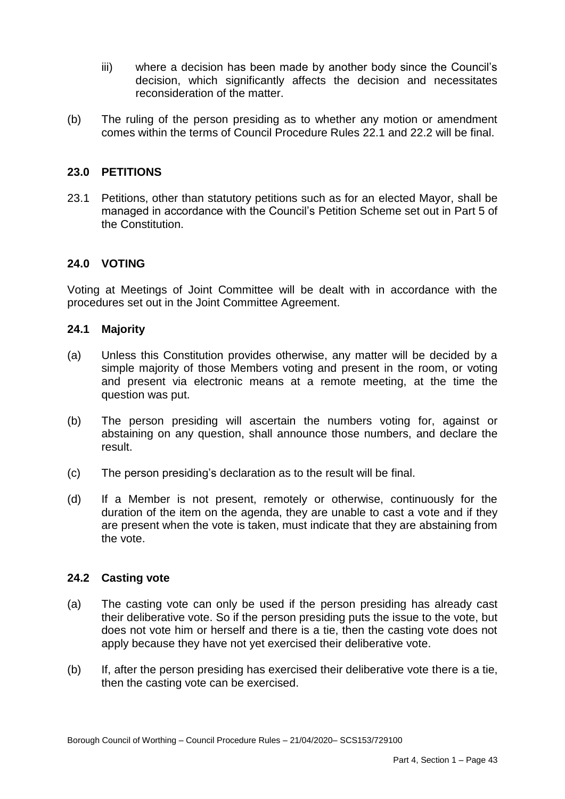- iii) where a decision has been made by another body since the Council's decision, which significantly affects the decision and necessitates reconsideration of the matter.
- $(b)$  comes within the terms of Council Procedure Rules 22.1 and 22.2 will be final. The ruling of the person presiding as to whether any motion or amendment

# **23.0 PETITIONS**

 23.1 Petitions, other than statutory petitions such as for an elected Mayor, shall be managed in accordance with the Council's Petition Scheme set out in Part 5 of the Constitution.

# **24.0 VOTING**

 Voting at Meetings of Joint Committee will be dealt with in accordance with the procedures set out in the Joint Committee Agreement.

#### **24.1 Majority**

- (a) Unless this Constitution provides otherwise, any matter will be decided by a simple majority of those Members voting and present in the room, or voting and present via electronic means at a remote meeting, at the time the question was put.
- $(b)$  abstaining on any question, shall announce those numbers, and declare the The person presiding will ascertain the numbers voting for, against or result.
- $(c)$ The person presiding's declaration as to the result will be final.
- $(d)$  duration of the item on the agenda, they are unable to cast a vote and if they are present when the vote is taken, must indicate that they are abstaining from If a Member is not present, remotely or otherwise, continuously for the the vote.

#### **24.2 Casting vote**

- $(a)$  their deliberative vote. So if the person presiding puts the issue to the vote, but does not vote him or herself and there is a tie, then the casting vote does not The casting vote can only be used if the person presiding has already cast apply because they have not yet exercised their deliberative vote.
- (b) If, after the person presiding has exercised their deliberative vote there is a tie, then the casting vote can be exercised.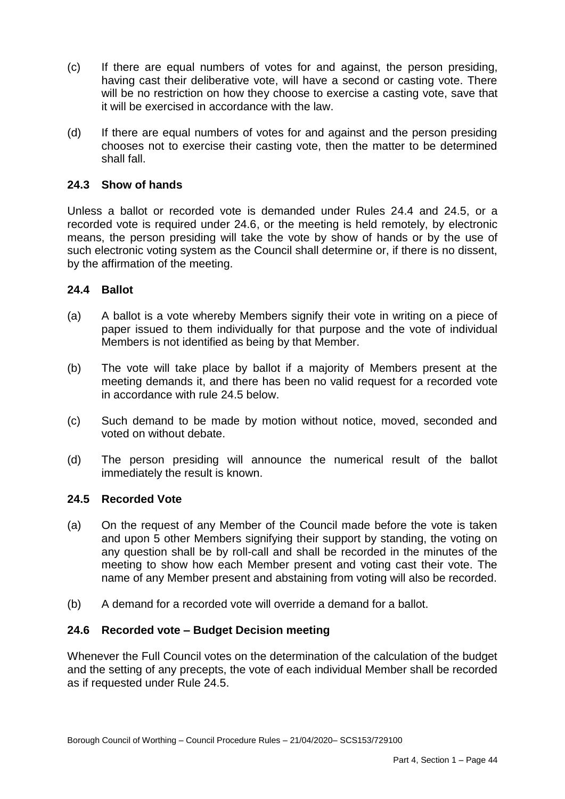- $(c)$  having cast their deliberative vote, will have a second or casting vote. There will be no restriction on how they choose to exercise a casting vote, save that If there are equal numbers of votes for and against, the person presiding, it will be exercised in accordance with the law.
- $(d)$  chooses not to exercise their casting vote, then the matter to be determined shall fall. If there are equal numbers of votes for and against and the person presiding

# **24.3 Show of hands**

 Unless a ballot or recorded vote is demanded under Rules 24.4 and 24.5, or a recorded vote is required under 24.6, or the meeting is held remotely, by electronic means, the person presiding will take the vote by show of hands or by the use of such electronic voting system as the Council shall determine or, if there is no dissent, by the affirmation of the meeting.

# **24.4 Ballot**

- $(a)$  paper issued to them individually for that purpose and the vote of individual A ballot is a vote whereby Members signify their vote in writing on a piece of Members is not identified as being by that Member.
- $(b)$  meeting demands it, and there has been no valid request for a recorded vote The vote will take place by ballot if a majority of Members present at the in accordance with rule 24.5 below.
- $(c)$ Such demand to be made by motion without notice, moved, seconded and voted on without debate.
- (d) The person presiding will announce the numerical result of the ballot immediately the result is known.

# **24.5 Recorded Vote**

- $(a)$  and upon 5 other Members signifying their support by standing, the voting on any question shall be by roll-call and shall be recorded in the minutes of the meeting to show how each Member present and voting cast their vote. The On the request of any Member of the Council made before the vote is taken name of any Member present and abstaining from voting will also be recorded.
- (b) A demand for a recorded vote will override a demand for a ballot.

# **24.6 Recorded vote – Budget Decision meeting**

 Whenever the Full Council votes on the determination of the calculation of the budget and the setting of any precepts, the vote of each individual Member shall be recorded as if requested under Rule 24.5.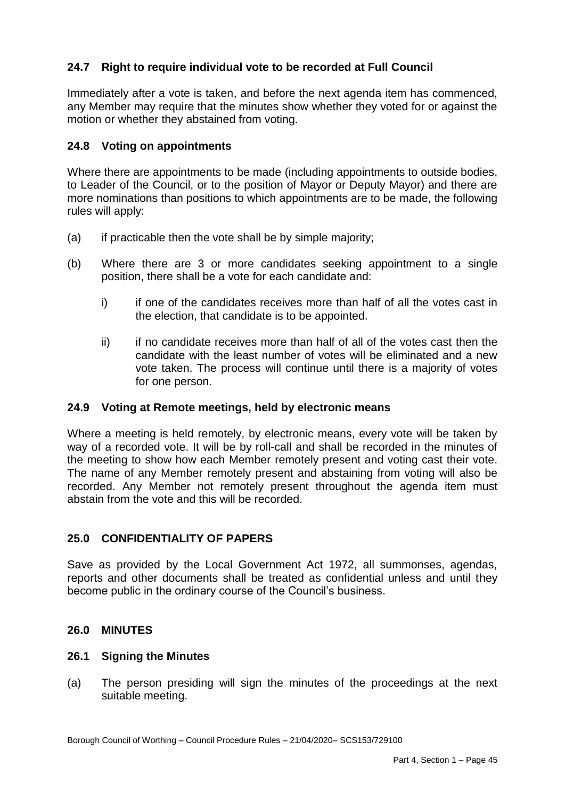# **24.7 Right to require individual vote to be recorded at Full Council**

 Immediately after a vote is taken, and before the next agenda item has commenced, any Member may require that the minutes show whether they voted for or against the motion or whether they abstained from voting.

# **24.8 Voting on appointments**

 Where there are appointments to be made (including appointments to outside bodies, to Leader of the Council, or to the position of Mayor or Deputy Mayor) and there are more nominations than positions to which appointments are to be made, the following rules will apply:

- $(a)$ if practicable then the vote shall be by simple majority;
- (b) Where there are 3 or more candidates seeking appointment to a single position, there shall be a vote for each candidate and:
	- i) the election, that candidate is to be appointed. if one of the candidates receives more than half of all the votes cast in
	- $\mathbf{ii}$  candidate with the least number of votes will be eliminated and a new vote taken. The process will continue until there is a majority of votes if no candidate receives more than half of all of the votes cast then the for one person.

#### **24.9 Voting at Remote meetings, held by electronic means**

 Where a meeting is held remotely, by electronic means, every vote will be taken by way of a recorded vote. It will be by roll-call and shall be recorded in the minutes of the meeting to show how each Member remotely present and voting cast their vote. The name of any Member remotely present and abstaining from voting will also be recorded. Any Member not remotely present throughout the agenda item must abstain from the vote and this will be recorded.

# **25.0 CONFIDENTIALITY OF PAPERS**

 Save as provided by the Local Government Act 1972, all summonses, agendas, reports and other documents shall be treated as confidential unless and until they become public in the ordinary course of the Council's business.

## **26.0 MINUTES**

#### **26.1 Signing the Minutes**

 $(a)$ The person presiding will sign the minutes of the proceedings at the next suitable meeting.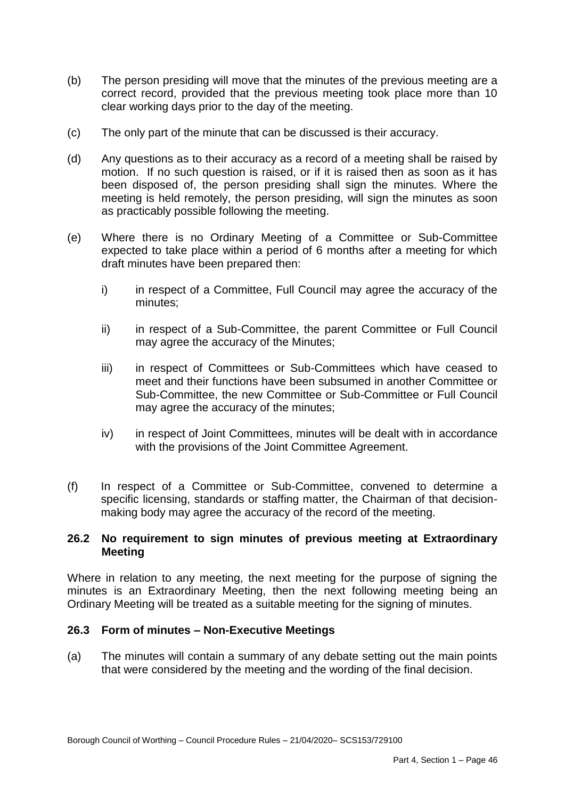- $(b)$  correct record, provided that the previous meeting took place more than 10 clear working days prior to the day of the meeting. The person presiding will move that the minutes of the previous meeting are a
- (c) The only part of the minute that can be discussed is their accuracy.
- $(d)$  motion. If no such question is raised, or if it is raised then as soon as it has been disposed of, the person presiding shall sign the minutes. Where the meeting is held remotely, the person presiding, will sign the minutes as soon Any questions as to their accuracy as a record of a meeting shall be raised by as practicably possible following the meeting.
- $(e)$  expected to take place within a period of 6 months after a meeting for which draft minutes have been prepared then: Where there is no Ordinary Meeting of a Committee or Sub-Committee
	- i) in respect of a Committee, Full Council may agree the accuracy of the minutes;
	- ii) in respect of a Sub-Committee, the parent Committee or Full Council may agree the accuracy of the Minutes;
	- iii) in respect of Committees or Sub-Committees which have ceased to meet and their functions have been subsumed in another Committee or Sub-Committee, the new Committee or Sub-Committee or Full Council may agree the accuracy of the minutes;
	- iv) in respect of Joint Committees, minutes will be dealt with in accordance with the provisions of the Joint Committee Agreement.
- $(f)$  specific licensing, standards or staffing matter, the Chairman of that decision- making body may agree the accuracy of the record of the meeting. In respect of a Committee or Sub-Committee, convened to determine a

## **26.2 No requirement to sign minutes of previous meeting at Extraordinary Meeting**

 Where in relation to any meeting, the next meeting for the purpose of signing the minutes is an Extraordinary Meeting, then the next following meeting being an Ordinary Meeting will be treated as a suitable meeting for the signing of minutes.

# **26.3 Form of minutes – Non-Executive Meetings**

 $(a)$ The minutes will contain a summary of any debate setting out the main points that were considered by the meeting and the wording of the final decision.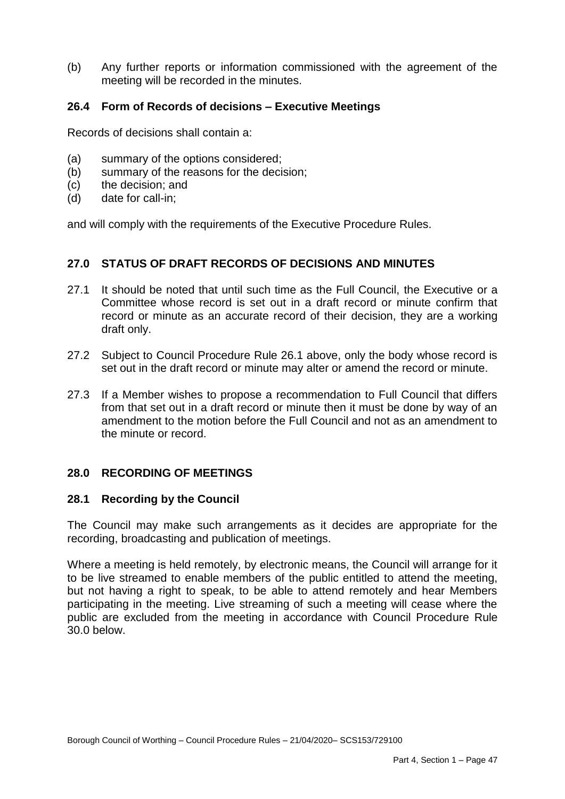$(b)$ Any further reports or information commissioned with the agreement of the meeting will be recorded in the minutes.

# **26.4 Form of Records of decisions – Executive Meetings**

Records of decisions shall contain a:

- (a) summary of the options considered;
- (b) summary of the reasons for the decision;
- $(c)$ the decision; and
- $(d)$ date for call-in:

and will comply with the requirements of the Executive Procedure Rules.

## **27.0 STATUS OF DRAFT RECORDS OF DECISIONS AND MINUTES**

- 27.1 It should be noted that until such time as the Full Council, the Executive or a Committee whose record is set out in a draft record or minute confirm that record or minute as an accurate record of their decision, they are a working draft only.
- 27.2 Subject to Council Procedure Rule 26.1 above, only the body whose record is set out in the draft record or minute may alter or amend the record or minute.
- 27.3 If a Member wishes to propose a recommendation to Full Council that differs from that set out in a draft record or minute then it must be done by way of an amendment to the motion before the Full Council and not as an amendment to the minute or record.

# **28.0 RECORDING OF MEETINGS**

#### **28.1 Recording by the Council**

 The Council may make such arrangements as it decides are appropriate for the recording, broadcasting and publication of meetings.

 Where a meeting is held remotely, by electronic means, the Council will arrange for it to be live streamed to enable members of the public entitled to attend the meeting, but not having a right to speak, to be able to attend remotely and hear Members participating in the meeting. Live streaming of such a meeting will cease where the public are excluded from the meeting in accordance with Council Procedure Rule 30.0 below.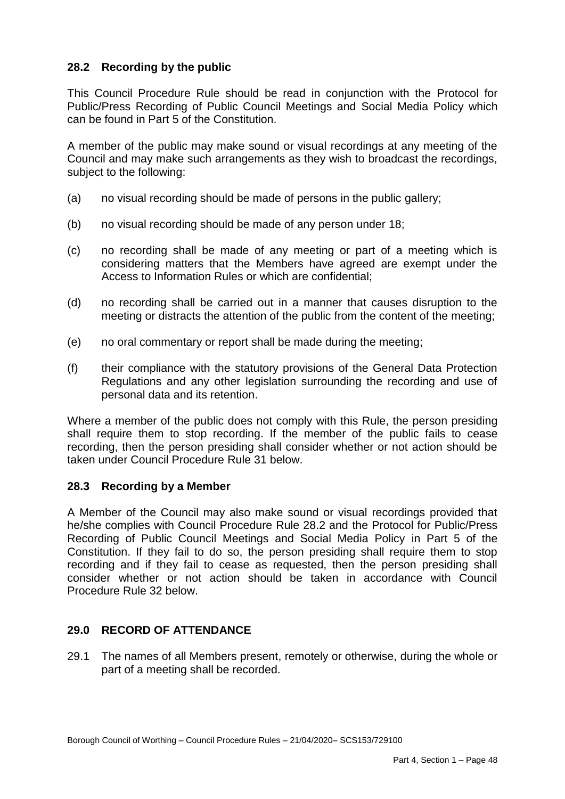# **28.2 Recording by the public**

 This Council Procedure Rule should be read in conjunction with the Protocol for Public/Press Recording of Public Council Meetings and Social Media Policy which can be found in Part 5 of the Constitution.

 A member of the public may make sound or visual recordings at any meeting of the Council and may make such arrangements as they wish to broadcast the recordings, subject to the following:

- (a) no visual recording should be made of persons in the public gallery;
- (b) no visual recording should be made of any person under 18;
- $(c)$  considering matters that the Members have agreed are exempt under the ho recording shall be made of any meeting or part of a meeting which is Access to Information Rules or which are confidential;
- $(d)$  meeting or distracts the attention of the public from the content of the meeting; (d) no recording shall be carried out in a manner that causes disruption to the
- (e) no oral commentary or report shall be made during the meeting;
- $(f)$  Regulations and any other legislation surrounding the recording and use of their compliance with the statutory provisions of the General Data Protection personal data and its retention.

 Where a member of the public does not comply with this Rule, the person presiding shall require them to stop recording. If the member of the public fails to cease recording, then the person presiding shall consider whether or not action should be taken under Council Procedure Rule 31 below.

# **28.3 Recording by a Member**

 A Member of the Council may also make sound or visual recordings provided that he/she complies with Council Procedure Rule 28.2 and the Protocol for Public/Press Recording of Public Council Meetings and Social Media Policy in Part 5 of the Constitution. If they fail to do so, the person presiding shall require them to stop recording and if they fail to cease as requested, then the person presiding shall consider whether or not action should be taken in accordance with Council Procedure Rule 32 below.

# **29.0 RECORD OF ATTENDANCE**

part of a meeting shall be recorded.<br>Borough Council of Worthing – Council Procedure Rules – 21/04/2020– SCS153/729100 29.1 The names of all Members present, remotely or otherwise, during the whole or part of a meeting shall be recorded.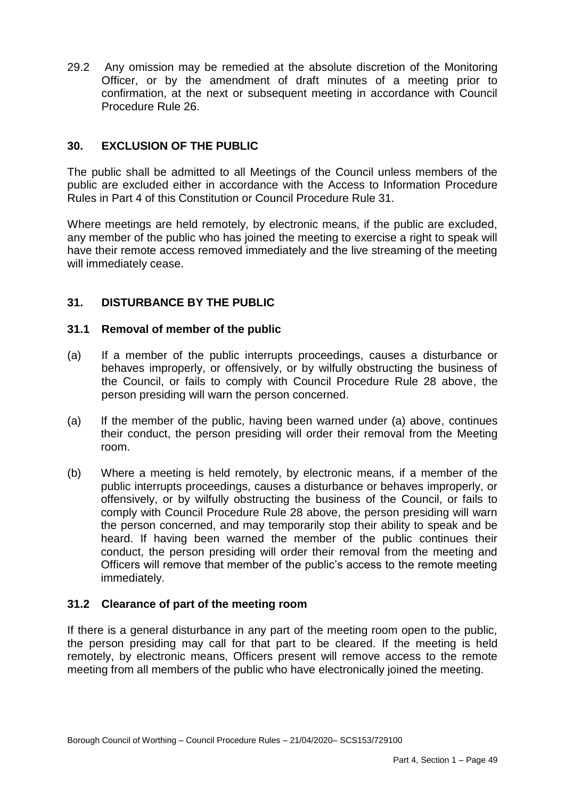29.2 Any omission may be remedied at the absolute discretion of the Monitoring Officer, or by the amendment of draft minutes of a meeting prior to confirmation, at the next or subsequent meeting in accordance with Council Procedure Rule 26.

# **30. EXCLUSION OF THE PUBLIC**

 The public shall be admitted to all Meetings of the Council unless members of the public are excluded either in accordance with the Access to Information Procedure Rules in Part 4 of this Constitution or Council Procedure Rule 31.

 Where meetings are held remotely, by electronic means, if the public are excluded, any member of the public who has joined the meeting to exercise a right to speak will have their remote access removed immediately and the live streaming of the meeting will immediately cease.

# **31. DISTURBANCE BY THE PUBLIC**

## **31.1 Removal of member of the public**

- $(a)$  behaves improperly, or offensively, or by wilfully obstructing the business of the Council, or fails to comply with Council Procedure Rule 28 above, the person presiding will warn the person concerned. If a member of the public interrupts proceedings, causes a disturbance or
- $(a)$  their conduct, the person presiding will order their removal from the Meeting room. If the member of the public, having been warned under (a) above, continues
- room. (b) Where a meeting is held remotely, by electronic means, if a member of the public interrupts proceedings, causes a disturbance or behaves improperly, or offensively, or by wilfully obstructing the business of the Council, or fails to comply with Council Procedure Rule 28 above, the person presiding will warn the person concerned, and may temporarily stop their ability to speak and be heard. If having been warned the member of the public continues their conduct, the person presiding will order their removal from the meeting and Officers will remove that member of the public's access to the remote meeting immediately.

# **31.2 Clearance of part of the meeting room**

 If there is a general disturbance in any part of the meeting room open to the public, the person presiding may call for that part to be cleared. If the meeting is held remotely, by electronic means, Officers present will remove access to the remote meeting from all members of the public who have electronically joined the meeting.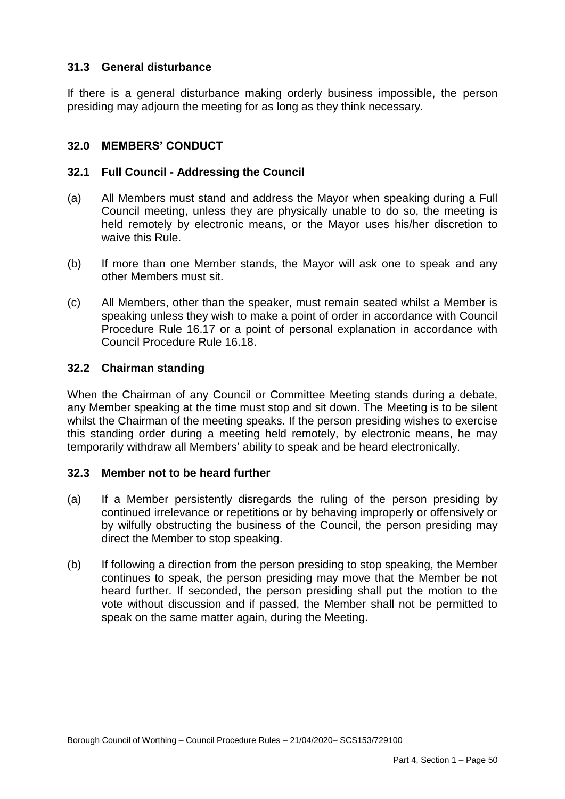# **31.3 General disturbance**

 If there is a general disturbance making orderly business impossible, the person presiding may adjourn the meeting for as long as they think necessary.

# **32.0 MEMBERS' CONDUCT**

# **32.1 Full Council - Addressing the Council**

- $(a)$  Council meeting, unless they are physically unable to do so, the meeting is held remotely by electronic means, or the Mayor uses his/her discretion to waive this Rule. All Members must stand and address the Mayor when speaking during a Full
- $(b)$  other Members must sit. If more than one Member stands, the Mayor will ask one to speak and any
- $(c)$  speaking unless they wish to make a point of order in accordance with Council Procedure Rule 16.17 or a point of personal explanation in accordance with All Members, other than the speaker, must remain seated whilst a Member is Council Procedure Rule 16.18.

# **32.2 Chairman standing**

 When the Chairman of any Council or Committee Meeting stands during a debate, any Member speaking at the time must stop and sit down. The Meeting is to be silent whilst the Chairman of the meeting speaks. If the person presiding wishes to exercise this standing order during a meeting held remotely, by electronic means, he may temporarily withdraw all Members' ability to speak and be heard electronically.

#### **32.3 Member not to be heard further**

- $(a)$  continued irrelevance or repetitions or by behaving improperly or offensively or by wilfully obstructing the business of the Council, the person presiding may If a Member persistently disregards the ruling of the person presiding by direct the Member to stop speaking.
- (b) If following a direction from the person presiding to stop speaking, the Member continues to speak, the person presiding may move that the Member be not heard further. If seconded, the person presiding shall put the motion to the vote without discussion and if passed, the Member shall not be permitted to speak on the same matter again, during the Meeting.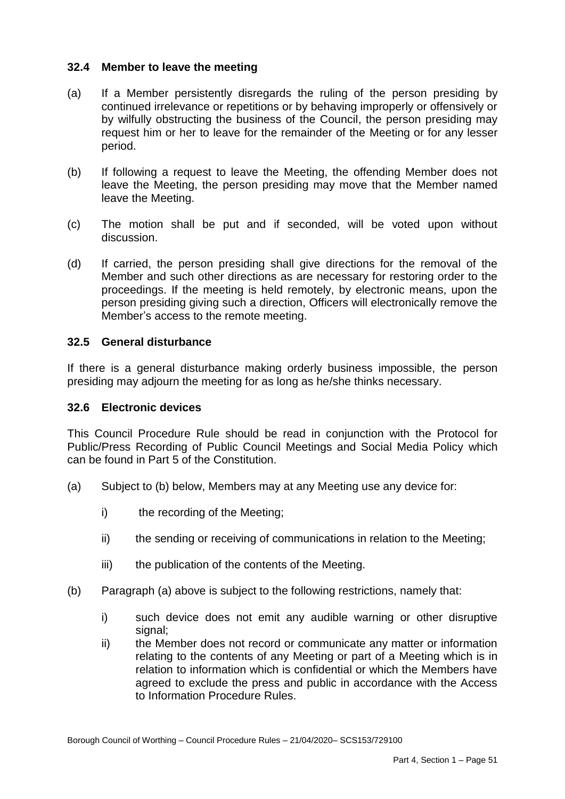## **32.4 Member to leave the meeting**

- $(a)$  continued irrelevance or repetitions or by behaving improperly or offensively or by wilfully obstructing the business of the Council, the person presiding may request him or her to leave for the remainder of the Meeting or for any lesser If a Member persistently disregards the ruling of the person presiding by period.
- $(b)$  leave the Meeting, the person presiding may move that the Member named If following a request to leave the Meeting, the offending Member does not leave the Meeting.
- $(c)$ The motion shall be put and if seconded, will be voted upon without discussion.
- $(d)$  Member and such other directions as are necessary for restoring order to the proceedings. If the meeting is held remotely, by electronic means, upon the person presiding giving such a direction, Officers will electronically remove the If carried, the person presiding shall give directions for the removal of the Member's access to the remote meeting.

## **32.5 General disturbance**

 If there is a general disturbance making orderly business impossible, the person presiding may adjourn the meeting for as long as he/she thinks necessary.

#### **32.6 Electronic devices**

 This Council Procedure Rule should be read in conjunction with the Protocol for Public/Press Recording of Public Council Meetings and Social Media Policy which can be found in Part 5 of the Constitution.

- (a) Subject to (b) below, Members may at any Meeting use any device for:
	- $\mathsf{i}$ the recording of the Meeting;
	- ii) the sending or receiving of communications in relation to the Meeting;
	- iii) the publication of the contents of the Meeting.
- (b) Paragraph (a) above is subject to the following restrictions, namely that:
	- $i)$ such device does not emit any audible warning or other disruptive signal:
- to Information Procedure Rules.<br>Borough Council of Worthing Council Procedure Rules 21/04/2020– SCS153/729100  $\mathsf{ii}$  relating to the contents of any Meeting or part of a Meeting which is in relation to information which is confidential or which the Members have agreed to exclude the press and public in accordance with the Access to Information Procedure Rules the Member does not record or communicate any matter or information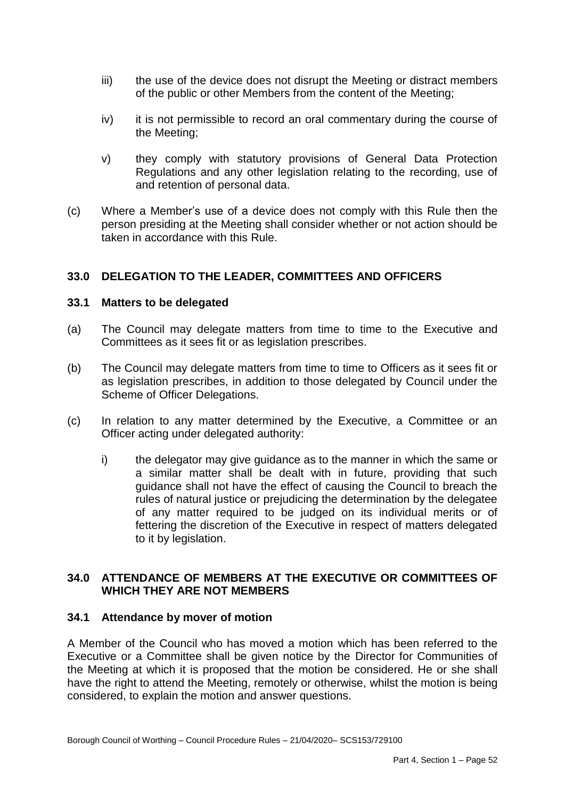- $\overline{iii}$  of the public or other Members from the content of the Meeting; the use of the device does not disrupt the Meeting or distract members
- iv) it is not permissible to record an oral commentary during the course of the Meeting;
- $V)$  Regulations and any other legislation relating to the recording, use of and retention of personal data. they comply with statutory provisions of General Data Protection
- $(c)$  person presiding at the Meeting shall consider whether or not action should be Where a Member's use of a device does not comply with this Rule then the taken in accordance with this Rule.

# **33.0 DELEGATION TO THE LEADER, COMMITTEES AND OFFICERS**

## **33.1 Matters to be delegated**

- $(a)$  Committees as it sees fit or as legislation prescribes. The Council may delegate matters from time to time to the Executive and
- $(b)$  as legislation prescribes, in addition to those delegated by Council under the The Council may delegate matters from time to time to Officers as it sees fit or Scheme of Officer Delegations.
- $(c)$ In relation to any matter determined by the Executive, a Committee or an Officer acting under delegated authority:
	- i) the delegator may give guidance as to the manner in which the same or a similar matter shall be dealt with in future, providing that such guidance shall not have the effect of causing the Council to breach the rules of natural justice or prejudicing the determination by the delegatee of any matter required to be judged on its individual merits or of fettering the discretion of the Executive in respect of matters delegated to it by legislation.

# **34.0 ATTENDANCE OF MEMBERS AT THE EXECUTIVE OR COMMITTEES OF WHICH THEY ARE NOT MEMBERS**

## **34.1 Attendance by mover of motion**

 A Member of the Council who has moved a motion which has been referred to the Executive or a Committee shall be given notice by the Director for Communities of the Meeting at which it is proposed that the motion be considered. He or she shall have the right to attend the Meeting, remotely or otherwise, whilst the motion is being considered, to explain the motion and answer questions.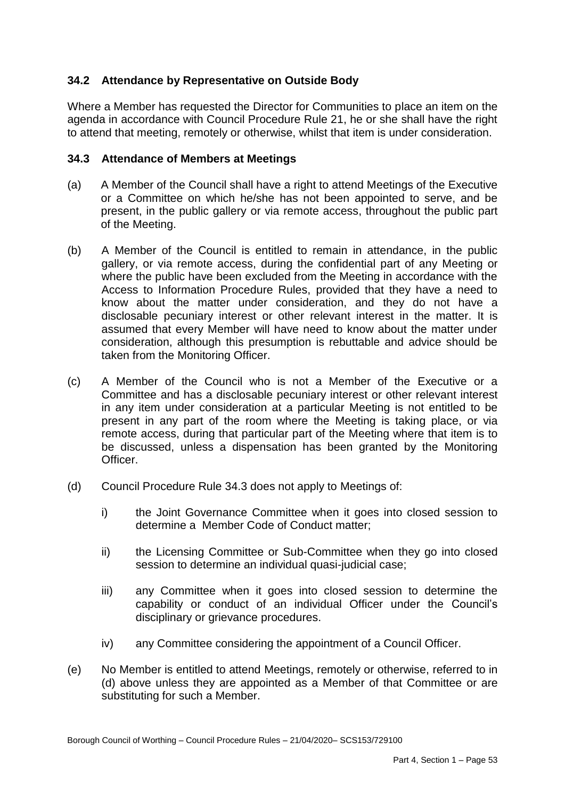# **34.2 Attendance by Representative on Outside Body**

 agenda in accordance with Council Procedure Rule 21, he or she shall have the right Where a Member has requested the Director for Communities to place an item on the to attend that meeting, remotely or otherwise, whilst that item is under consideration.

# **34.3 Attendance of Members at Meetings**

- (a) A Member of the Council shall have a right to attend Meetings of the Executive or a Committee on which he/she has not been appointed to serve, and be present, in the public gallery or via remote access, throughout the public part of the Meeting.
- $(b)$  gallery, or via remote access, during the confidential part of any Meeting or where the public have been excluded from the Meeting in accordance with the Access to Information Procedure Rules, provided that they have a need to know about the matter under consideration, and they do not have a disclosable pecuniary interest or other relevant interest in the matter. It is assumed that every Member will have need to know about the matter under A Member of the Council is entitled to remain in attendance, in the public consideration, although this presumption is rebuttable and advice should be taken from the Monitoring Officer.
- $(c)$  Committee and has a disclosable pecuniary interest or other relevant interest in any item under consideration at a particular Meeting is not entitled to be present in any part of the room where the Meeting is taking place, or via remote access, during that particular part of the Meeting where that item is to be discussed, unless a dispensation has been granted by the Monitoring A Member of the Council who is not a Member of the Executive or a Officer.
- (d) Council Procedure Rule 34.3 does not apply to Meetings of:
	- $\mathsf{i}$  determine a Member Code of Conduct matter; the Joint Governance Committee when it goes into closed session to
	- $\mathsf{ii}$ the Licensing Committee or Sub-Committee when they go into closed session to determine an individual quasi-judicial case;
	- iii) capability or conduct of an individual Officer under the Council's any Committee when it goes into closed session to determine the disciplinary or grievance procedures.
	- iv) any Committee considering the appointment of a Council Officer.
- (e) No Member is entitled to attend Meetings, remotely or otherwise, referred to in (d) above unless they are appointed as a Member of that Committee or are substituting for such a Member.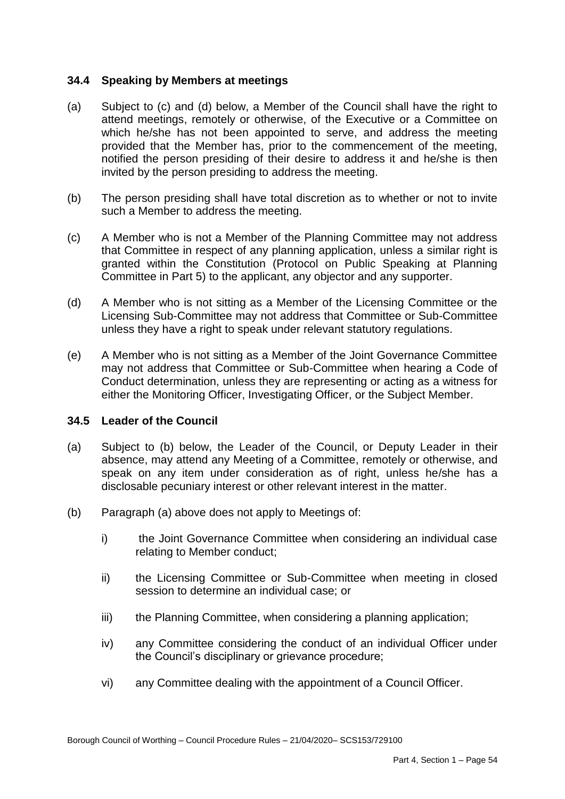## **34.4 Speaking by Members at meetings**

- $(a)$  attend meetings, remotely or otherwise, of the Executive or a Committee on which he/she has not been appointed to serve, and address the meeting provided that the Member has, prior to the commencement of the meeting, notified the person presiding of their desire to address it and he/she is then invited by the person presiding to address the meeting. Subject to (c) and (d) below, a Member of the Council shall have the right to
- $(b)$  such a Member to address the meeting. The person presiding shall have total discretion as to whether or not to invite
- $(c)$  that Committee in respect of any planning application, unless a similar right is granted within the Constitution (Protocol on Public Speaking at Planning A Member who is not a Member of the Planning Committee may not address Committee in Part 5) to the applicant, any objector and any supporter.
- $(d)$  Licensing Sub-Committee may not address that Committee or Sub-Committee A Member who is not sitting as a Member of the Licensing Committee or the unless they have a right to speak under relevant statutory regulations.
- $(e)$  may not address that Committee or Sub-Committee when hearing a Code of Conduct determination, unless they are representing or acting as a witness for A Member who is not sitting as a Member of the Joint Governance Committee either the Monitoring Officer, Investigating Officer, or the Subject Member.

# **34.5 Leader of the Council**

- $(a)$  absence, may attend any Meeting of a Committee, remotely or otherwise, and speak on any item under consideration as of right, unless he/she has a Subject to (b) below, the Leader of the Council, or Deputy Leader in their disclosable pecuniary interest or other relevant interest in the matter.
- (b) Paragraph (a) above does not apply to Meetings of:
	- $i)$ the Joint Governance Committee when considering an individual case relating to Member conduct;
	- ii) the Licensing Committee or Sub-Committee when meeting in closed session to determine an individual case; or
	- $iii)$ the Planning Committee, when considering a planning application;
	- $iv)$ any Committee considering the conduct of an individual Officer under the Council's disciplinary or grievance procedure;
	- vi) any Committee dealing with the appointment of a Council Officer.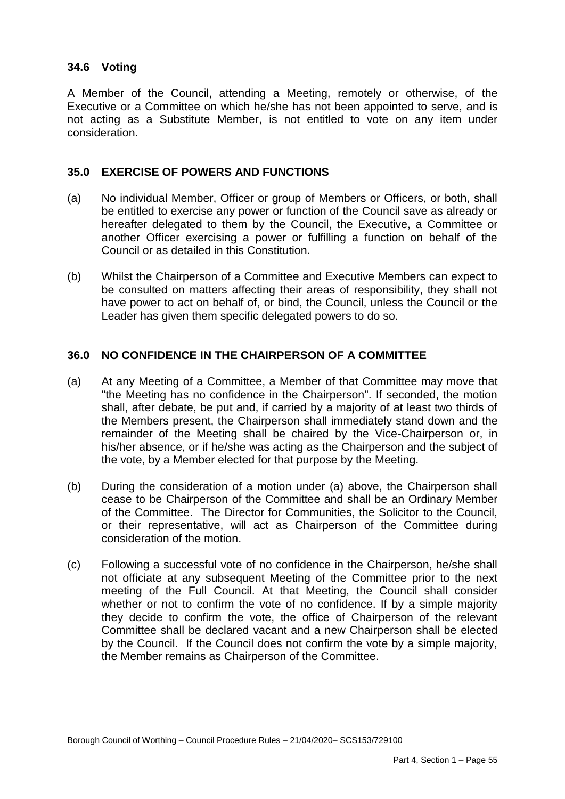# **34.6 Voting**

 A Member of the Council, attending a Meeting, remotely or otherwise, of the Executive or a Committee on which he/she has not been appointed to serve, and is not acting as a Substitute Member, is not entitled to vote on any item under consideration.

# **35.0 EXERCISE OF POWERS AND FUNCTIONS**

- (a) No individual Member, Officer or group of Members or Officers, or both, shall be entitled to exercise any power or function of the Council save as already or hereafter delegated to them by the Council, the Executive, a Committee or another Officer exercising a power or fulfilling a function on behalf of the Council or as detailed in this Constitution.
- (b) Whilst the Chairperson of a Committee and Executive Members can expect to be consulted on matters affecting their areas of responsibility, they shall not have power to act on behalf of, or bind, the Council, unless the Council or the Leader has given them specific delegated powers to do so.

# **36.0 NO CONFIDENCE IN THE CHAIRPERSON OF A COMMITTEE**

- $(a)$  "the Meeting has no confidence in the Chairperson". If seconded, the motion shall, after debate, be put and, if carried by a majority of at least two thirds of the Members present, the Chairperson shall immediately stand down and the remainder of the Meeting shall be chaired by the Vice-Chairperson or, in his/her absence, or if he/she was acting as the Chairperson and the subject of At any Meeting of a Committee, a Member of that Committee may move that the vote, by a Member elected for that purpose by the Meeting.
- $(b)$  cease to be Chairperson of the Committee and shall be an Ordinary Member of the Committee. The Director for Communities, the Solicitor to the Council, or their representative, will act as Chairperson of the Committee during consideration of the motion. During the consideration of a motion under (a) above, the Chairperson shall
- (c) Following a successful vote of no confidence in the Chairperson, he/she shall not officiate at any subsequent Meeting of the Committee prior to the next meeting of the Full Council. At that Meeting, the Council shall consider whether or not to confirm the vote of no confidence. If by a simple majority they decide to confirm the vote, the office of Chairperson of the relevant Committee shall be declared vacant and a new Chairperson shall be elected by the Council. If the Council does not confirm the vote by a simple majority, the Member remains as Chairperson of the Committee.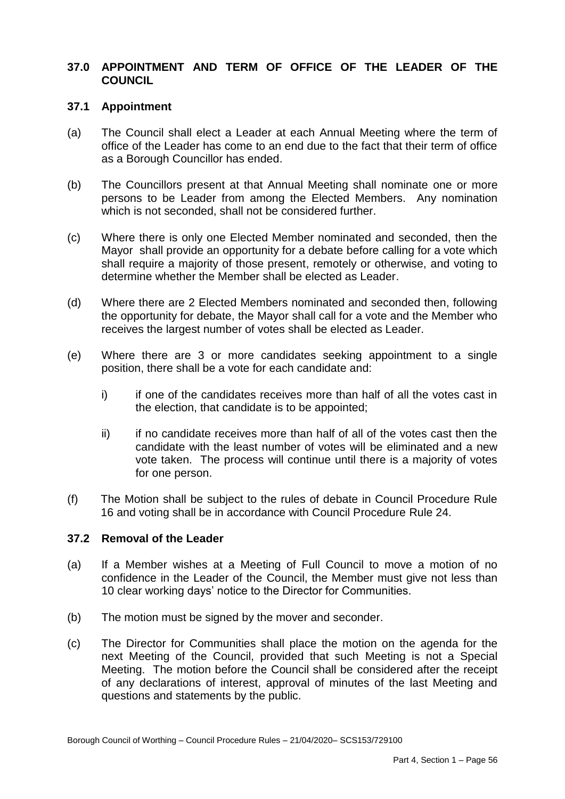# **37.0 APPOINTMENT AND TERM OF OFFICE OF THE LEADER OF THE COUNCIL**

# **37.1 Appointment**

- $(a)$  office of the Leader has come to an end due to the fact that their term of office The Council shall elect a Leader at each Annual Meeting where the term of as a Borough Councillor has ended.
- $(b)$  persons to be Leader from among the Elected Members. Any nomination which is not seconded, shall not be considered further. The Councillors present at that Annual Meeting shall nominate one or more
- $(c)$  Mayor shall provide an opportunity for a debate before calling for a vote which shall require a majority of those present, remotely or otherwise, and voting to Where there is only one Elected Member nominated and seconded, then the determine whether the Member shall be elected as Leader.
- $(d)$  the opportunity for debate, the Mayor shall call for a vote and the Member who Where there are 2 Elected Members nominated and seconded then, following receives the largest number of votes shall be elected as Leader.
- (e) Where there are 3 or more candidates seeking appointment to a single position, there shall be a vote for each candidate and:
	- $i)$  the election, that candidate is to be appointed; if one of the candidates receives more than half of all the votes cast in
	- $\mathbf{ii}$  candidate with the least number of votes will be eliminated and a new vote taken. The process will continue until there is a majority of votes if no candidate receives more than half of all of the votes cast then the for one person.
- $(f)$  16 and voting shall be in accordance with Council Procedure Rule 24. The Motion shall be subject to the rules of debate in Council Procedure Rule

#### **37.2 Removal of the Leader**

- $(a)$  confidence in the Leader of the Council, the Member must give not less than 10 clear working days' notice to the Director for Communities. If a Member wishes at a Meeting of Full Council to move a motion of no
- $(b)$ The motion must be signed by the mover and seconder.
- $(c)$  next Meeting of the Council, provided that such Meeting is not a Special Meeting. The motion before the Council shall be considered after the receipt of any declarations of interest, approval of minutes of the last Meeting and The Director for Communities shall place the motion on the agenda for the questions and statements by the public.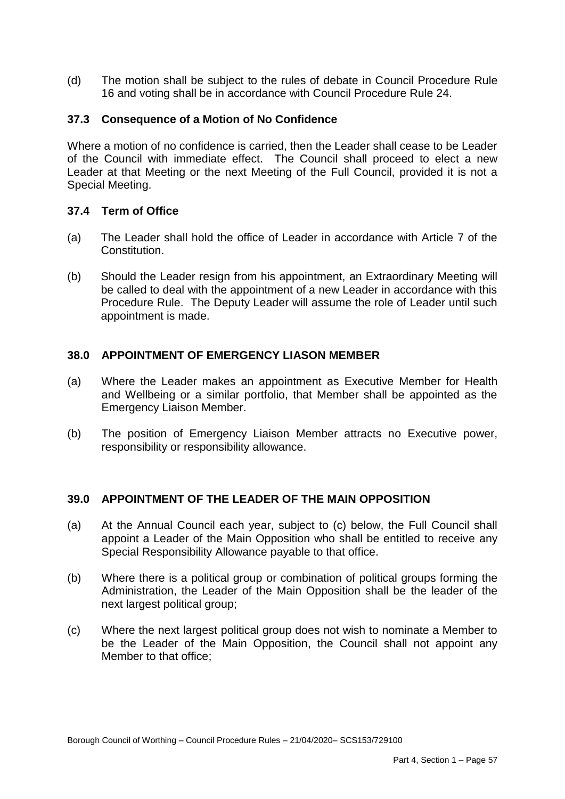$(d)$ The motion shall be subject to the rules of debate in Council Procedure Rule 16 and voting shall be in accordance with Council Procedure Rule 24.

# **37.3 Consequence of a Motion of No Confidence**

 Where a motion of no confidence is carried, then the Leader shall cease to be Leader of the Council with immediate effect. The Council shall proceed to elect a new Leader at that Meeting or the next Meeting of the Full Council, provided it is not a Special Meeting.

# **37.4 Term of Office**

- $(a)$ The Leader shall hold the office of Leader in accordance with Article 7 of the Constitution.
- $(b)$  be called to deal with the appointment of a new Leader in accordance with this Procedure Rule. The Deputy Leader will assume the role of Leader until such Should the Leader resign from his appointment, an Extraordinary Meeting will appointment is made.

# **38.0 APPOINTMENT OF EMERGENCY LIASON MEMBER**

- $(a)$  and Wellbeing or a similar portfolio, that Member shall be appointed as the **Emergency Liaison Member.** Where the Leader makes an appointment as Executive Member for Health
- $(b)$ The position of Emergency Liaison Member attracts no Executive power, responsibility or responsibility allowance.

# **39.0 APPOINTMENT OF THE LEADER OF THE MAIN OPPOSITION**

- $(a)$  appoint a Leader of the Main Opposition who shall be entitled to receive any At the Annual Council each year, subject to (c) below, the Full Council shall Special Responsibility Allowance payable to that office.
- $(b)$  Administration, the Leader of the Main Opposition shall be the leader of the next largest political group; Where there is a political group or combination of political groups forming the
- $(c)$  be the Leader of the Main Opposition, the Council shall not appoint any Where the next largest political group does not wish to nominate a Member to Member to that office;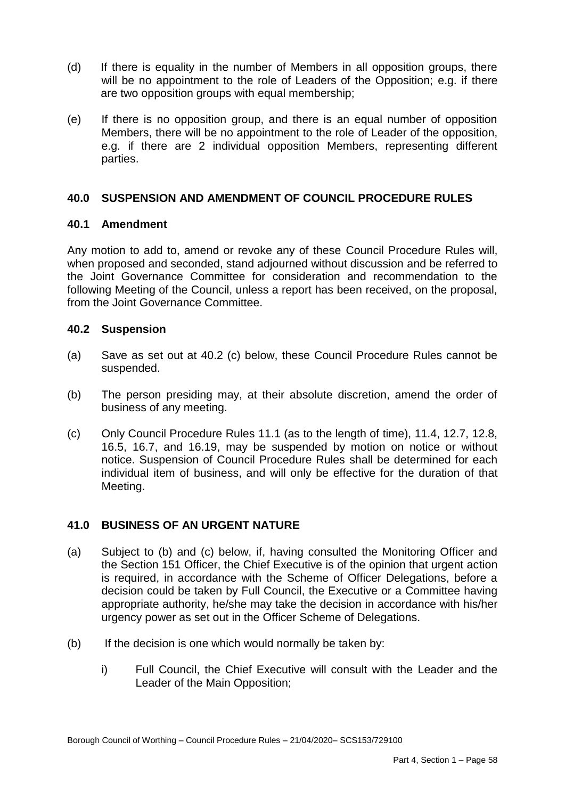- $(d)$  will be no appointment to the role of Leaders of the Opposition; e.g. if there If there is equality in the number of Members in all opposition groups, there are two opposition groups with equal membership;
- $(e)$  Members, there will be no appointment to the role of Leader of the opposition, e.g. if there are 2 individual opposition Members, representing different If there is no opposition group, and there is an equal number of opposition parties.

## **40.0 SUSPENSION AND AMENDMENT OF COUNCIL PROCEDURE RULES**

## **40.1 Amendment**

 Any motion to add to, amend or revoke any of these Council Procedure Rules will, when proposed and seconded, stand adjourned without discussion and be referred to the Joint Governance Committee for consideration and recommendation to the following Meeting of the Council, unless a report has been received, on the proposal, from the Joint Governance Committee.

## **40.2 Suspension**

- $(a)$ Save as set out at 40.2 (c) below, these Council Procedure Rules cannot be suspended.
- $(b)$ The person presiding may, at their absolute discretion, amend the order of business of any meeting.
- $(c)$  16.5, 16.7, and 16.19, may be suspended by motion on notice or without notice. Suspension of Council Procedure Rules shall be determined for each individual item of business, and will only be effective for the duration of that (c) Only Council Procedure Rules 11.1 (as to the length of time), 11.4, 12.7, 12.8, Meeting.

# **41.0 BUSINESS OF AN URGENT NATURE**

- $(a)$  the Section 151 Officer, the Chief Executive is of the opinion that urgent action is required, in accordance with the Scheme of Officer Delegations, before a decision could be taken by Full Council, the Executive or a Committee having appropriate authority, he/she may take the decision in accordance with his/her urgency power as set out in the Officer Scheme of Delegations.<br>(b) If the decision is one which would normally be taken by: Subject to (b) and (c) below, if, having consulted the Monitoring Officer and
- $(b)$ 
	- i) Full Council, the Chief Executive will consult with the Leader and the Leader of the Main Opposition;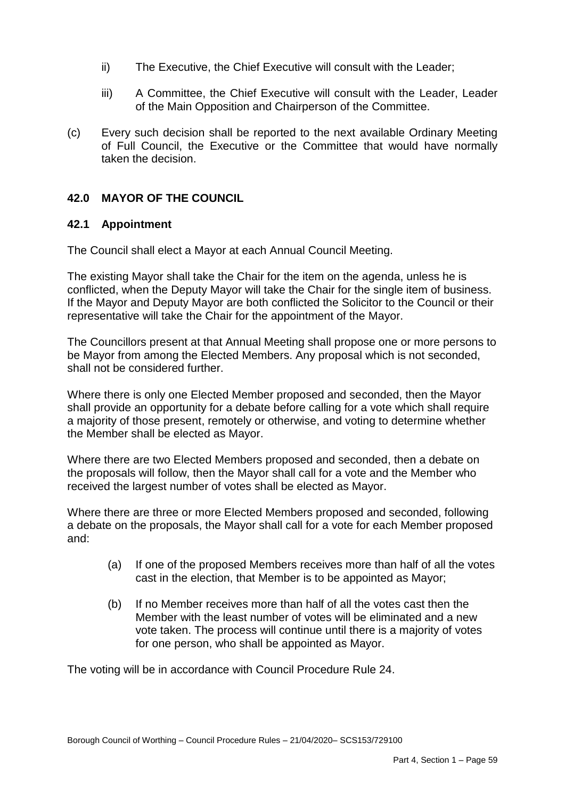- ii) The Executive, the Chief Executive will consult with the Leader;
- iii) A Committee, the Chief Executive will consult with the Leader, Leader of the Main Opposition and Chairperson of the Committee.
- $(c)$  of Full Council, the Executive or the Committee that would have normally Every such decision shall be reported to the next available Ordinary Meeting taken the decision.

# **42.0 MAYOR OF THE COUNCIL**

# **42.1 Appointment**

The Council shall elect a Mayor at each Annual Council Meeting.

 The existing Mayor shall take the Chair for the item on the agenda, unless he is representative will take the Chair for the appointment of the Mayor. conflicted, when the Deputy Mayor will take the Chair for the single item of business. If the Mayor and Deputy Mayor are both conflicted the Solicitor to the Council or their

 shall not be considered further. The Councillors present at that Annual Meeting shall propose one or more persons to be Mayor from among the Elected Members. Any proposal which is not seconded,

 the Member shall be elected as Mayor. Where there is only one Elected Member proposed and seconded, then the Mayor shall provide an opportunity for a debate before calling for a vote which shall require a majority of those present, remotely or otherwise, and voting to determine whether

 Where there are two Elected Members proposed and seconded, then a debate on the proposals will follow, then the Mayor shall call for a vote and the Member who received the largest number of votes shall be elected as Mayor.

 a debate on the proposals, the Mayor shall call for a vote for each Member proposed Where there are three or more Elected Members proposed and seconded, following and:

- (a) If one of the proposed Members receives more than half of all the votes cast in the election, that Member is to be appointed as Mayor;
- $(b)$ If no Member receives more than half of all the votes cast then the Member with the least number of votes will be eliminated and a new vote taken. The process will continue until there is a majority of votes for one person, who shall be appointed as Mayor.

The voting will be in accordance with Council Procedure Rule 24.